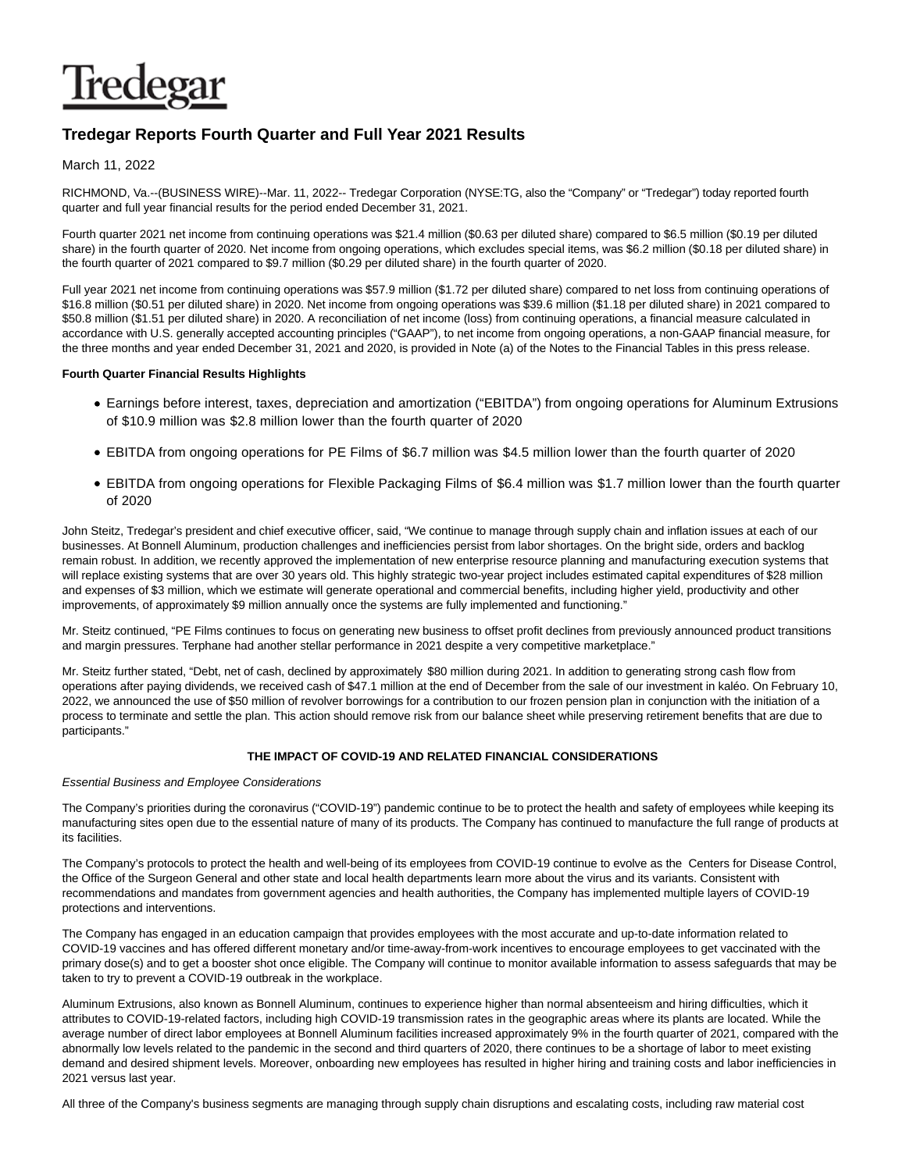# Tredega

# **Tredegar Reports Fourth Quarter and Full Year 2021 Results**

March 11, 2022

RICHMOND, Va.--(BUSINESS WIRE)--Mar. 11, 2022-- Tredegar Corporation (NYSE:TG, also the "Company" or "Tredegar") today reported fourth quarter and full year financial results for the period ended December 31, 2021.

Fourth quarter 2021 net income from continuing operations was \$21.4 million (\$0.63 per diluted share) compared to \$6.5 million (\$0.19 per diluted share) in the fourth quarter of 2020. Net income from ongoing operations, which excludes special items, was \$6.2 million (\$0.18 per diluted share) in the fourth quarter of 2021 compared to \$9.7 million (\$0.29 per diluted share) in the fourth quarter of 2020.

Full year 2021 net income from continuing operations was \$57.9 million (\$1.72 per diluted share) compared to net loss from continuing operations of \$16.8 million (\$0.51 per diluted share) in 2020. Net income from ongoing operations was \$39.6 million (\$1.18 per diluted share) in 2021 compared to \$50.8 million (\$1.51 per diluted share) in 2020. A reconciliation of net income (loss) from continuing operations, a financial measure calculated in accordance with U.S. generally accepted accounting principles ("GAAP"), to net income from ongoing operations, a non-GAAP financial measure, for the three months and year ended December 31, 2021 and 2020, is provided in Note (a) of the Notes to the Financial Tables in this press release.

#### **Fourth Quarter Financial Results Highlights**

- Earnings before interest, taxes, depreciation and amortization ("EBITDA") from ongoing operations for Aluminum Extrusions of \$10.9 million was \$2.8 million lower than the fourth quarter of 2020
- EBITDA from ongoing operations for PE Films of \$6.7 million was \$4.5 million lower than the fourth quarter of 2020
- EBITDA from ongoing operations for Flexible Packaging Films of \$6.4 million was \$1.7 million lower than the fourth quarter of 2020

John Steitz, Tredegar's president and chief executive officer, said, "We continue to manage through supply chain and inflation issues at each of our businesses. At Bonnell Aluminum, production challenges and inefficiencies persist from labor shortages. On the bright side, orders and backlog remain robust. In addition, we recently approved the implementation of new enterprise resource planning and manufacturing execution systems that will replace existing systems that are over 30 years old. This highly strategic two-year project includes estimated capital expenditures of \$28 million and expenses of \$3 million, which we estimate will generate operational and commercial benefits, including higher yield, productivity and other improvements, of approximately \$9 million annually once the systems are fully implemented and functioning."

Mr. Steitz continued, "PE Films continues to focus on generating new business to offset profit declines from previously announced product transitions and margin pressures. Terphane had another stellar performance in 2021 despite a very competitive marketplace."

Mr. Steitz further stated, "Debt, net of cash, declined by approximately \$80 million during 2021. In addition to generating strong cash flow from operations after paying dividends, we received cash of \$47.1 million at the end of December from the sale of our investment in kaléo. On February 10, 2022, we announced the use of \$50 million of revolver borrowings for a contribution to our frozen pension plan in conjunction with the initiation of a process to terminate and settle the plan. This action should remove risk from our balance sheet while preserving retirement benefits that are due to participants."

#### **THE IMPACT OF COVID-19 AND RELATED FINANCIAL CONSIDERATIONS**

#### Essential Business and Employee Considerations

The Company's priorities during the coronavirus ("COVID-19") pandemic continue to be to protect the health and safety of employees while keeping its manufacturing sites open due to the essential nature of many of its products. The Company has continued to manufacture the full range of products at its facilities.

The Company's protocols to protect the health and well-being of its employees from COVID-19 continue to evolve as the Centers for Disease Control, the Office of the Surgeon General and other state and local health departments learn more about the virus and its variants. Consistent with recommendations and mandates from government agencies and health authorities, the Company has implemented multiple layers of COVID-19 protections and interventions.

The Company has engaged in an education campaign that provides employees with the most accurate and up-to-date information related to COVID-19 vaccines and has offered different monetary and/or time-away-from-work incentives to encourage employees to get vaccinated with the primary dose(s) and to get a booster shot once eligible. The Company will continue to monitor available information to assess safeguards that may be taken to try to prevent a COVID-19 outbreak in the workplace.

Aluminum Extrusions, also known as Bonnell Aluminum, continues to experience higher than normal absenteeism and hiring difficulties, which it attributes to COVID-19-related factors, including high COVID-19 transmission rates in the geographic areas where its plants are located. While the average number of direct labor employees at Bonnell Aluminum facilities increased approximately 9% in the fourth quarter of 2021, compared with the abnormally low levels related to the pandemic in the second and third quarters of 2020, there continues to be a shortage of labor to meet existing demand and desired shipment levels. Moreover, onboarding new employees has resulted in higher hiring and training costs and labor inefficiencies in 2021 versus last year.

All three of the Company's business segments are managing through supply chain disruptions and escalating costs, including raw material cost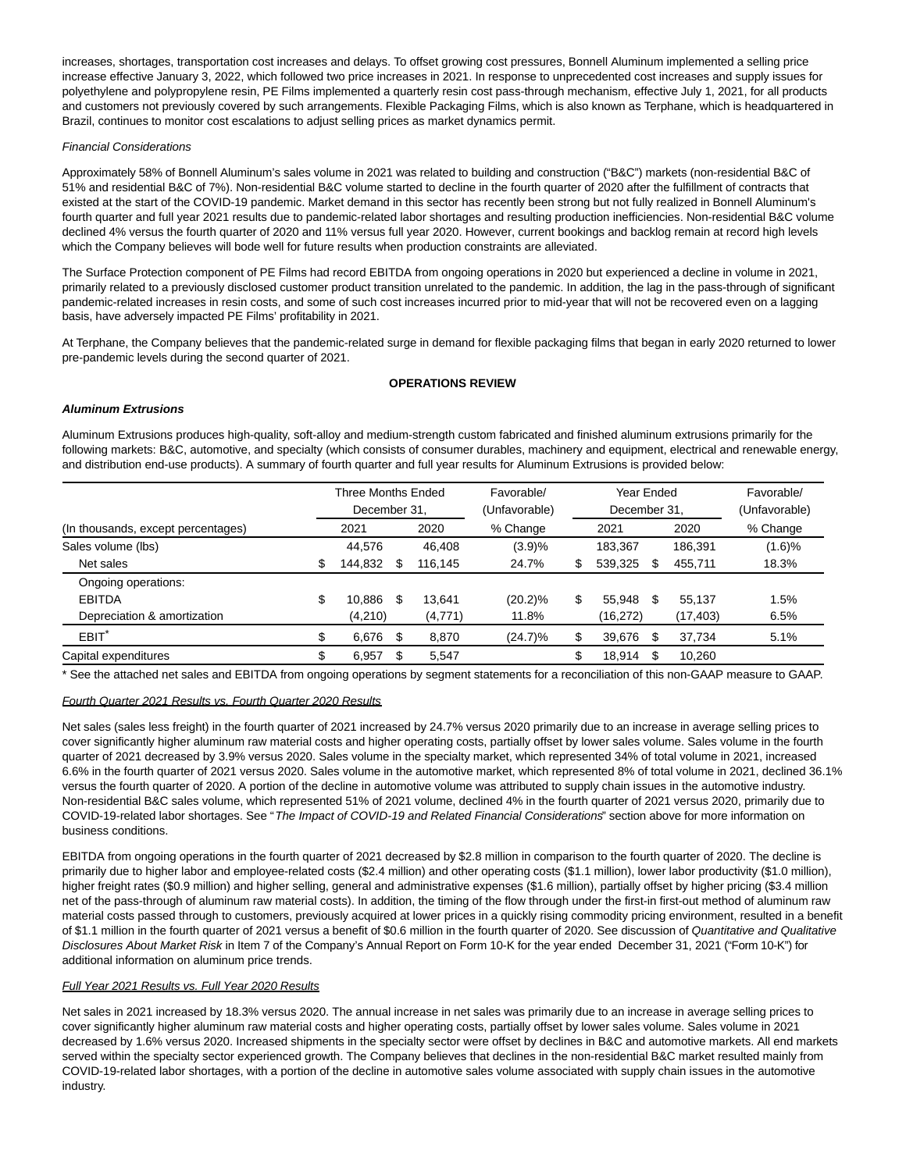increases, shortages, transportation cost increases and delays. To offset growing cost pressures, Bonnell Aluminum implemented a selling price increase effective January 3, 2022, which followed two price increases in 2021. In response to unprecedented cost increases and supply issues for polyethylene and polypropylene resin, PE Films implemented a quarterly resin cost pass-through mechanism, effective July 1, 2021, for all products and customers not previously covered by such arrangements. Flexible Packaging Films, which is also known as Terphane, which is headquartered in Brazil, continues to monitor cost escalations to adjust selling prices as market dynamics permit.

#### Financial Considerations

Approximately 58% of Bonnell Aluminum's sales volume in 2021 was related to building and construction ("B&C") markets (non-residential B&C of 51% and residential B&C of 7%). Non-residential B&C volume started to decline in the fourth quarter of 2020 after the fulfillment of contracts that existed at the start of the COVID-19 pandemic. Market demand in this sector has recently been strong but not fully realized in Bonnell Aluminum's fourth quarter and full year 2021 results due to pandemic-related labor shortages and resulting production inefficiencies. Non-residential B&C volume declined 4% versus the fourth quarter of 2020 and 11% versus full year 2020. However, current bookings and backlog remain at record high levels which the Company believes will bode well for future results when production constraints are alleviated.

The Surface Protection component of PE Films had record EBITDA from ongoing operations in 2020 but experienced a decline in volume in 2021, primarily related to a previously disclosed customer product transition unrelated to the pandemic. In addition, the lag in the pass-through of significant pandemic-related increases in resin costs, and some of such cost increases incurred prior to mid-year that will not be recovered even on a lagging basis, have adversely impacted PE Films' profitability in 2021.

At Terphane, the Company believes that the pandemic-related surge in demand for flexible packaging films that began in early 2020 returned to lower pre-pandemic levels during the second quarter of 2021.

#### **OPERATIONS REVIEW**

#### **Aluminum Extrusions**

Aluminum Extrusions produces high-quality, soft-alloy and medium-strength custom fabricated and finished aluminum extrusions primarily for the following markets: B&C, automotive, and specialty (which consists of consumer durables, machinery and equipment, electrical and renewable energy, and distribution end-use products). A summary of fourth quarter and full year results for Aluminum Extrusions is provided below:

|                                    |    | Three Months Ended<br>December 31. |     |          | Favorable/<br>(Unfavorable) | Year Ended<br>December 31. |           |    |           | Favorable/<br>(Unfavorable) |
|------------------------------------|----|------------------------------------|-----|----------|-----------------------------|----------------------------|-----------|----|-----------|-----------------------------|
| (In thousands, except percentages) |    | 2021                               |     | 2020     | % Change                    |                            | 2021      |    | 2020      | % Change                    |
| Sales volume (lbs)                 |    | 44.576                             |     | 46.408   | (3.9)%                      |                            | 183.367   |    | 186.391   | (1.6)%                      |
| Net sales                          | \$ | 144,832                            | S   | 116.145  | 24.7%                       | \$                         | 539,325   | \$ | 455,711   | 18.3%                       |
| Ongoing operations:                |    |                                    |     |          |                             |                            |           |    |           |                             |
| <b>EBITDA</b>                      | \$ | 10.886                             | S   | 13.641   | $(20.2)\%$                  | \$                         | 55.948    | S  | 55.137    | 1.5%                        |
| Depreciation & amortization        |    | (4,210)                            |     | (4, 771) | 11.8%                       |                            | (16, 272) |    | (17, 403) | 6.5%                        |
| EBIT <sup>'</sup>                  | S  | 6,676                              | \$. | 8,870    | (24.7)%                     | \$                         | 39,676    |    | 37,734    | 5.1%                        |
| Capital expenditures               | \$ | 6,957                              | Ф   | 5.547    |                             | \$                         | 18,914    |    | 10.260    |                             |

\* See the attached net sales and EBITDA from ongoing operations by segment statements for a reconciliation of this non-GAAP measure to GAAP.

#### Fourth Quarter 2021 Results vs. Fourth Quarter 2020 Results

Net sales (sales less freight) in the fourth quarter of 2021 increased by 24.7% versus 2020 primarily due to an increase in average selling prices to cover significantly higher aluminum raw material costs and higher operating costs, partially offset by lower sales volume. Sales volume in the fourth quarter of 2021 decreased by 3.9% versus 2020. Sales volume in the specialty market, which represented 34% of total volume in 2021, increased 6.6% in the fourth quarter of 2021 versus 2020. Sales volume in the automotive market, which represented 8% of total volume in 2021, declined 36.1% versus the fourth quarter of 2020. A portion of the decline in automotive volume was attributed to supply chain issues in the automotive industry. Non-residential B&C sales volume, which represented 51% of 2021 volume, declined 4% in the fourth quarter of 2021 versus 2020, primarily due to COVID-19-related labor shortages. See "The Impact of COVID-19 and Related Financial Considerations" section above for more information on business conditions.

EBITDA from ongoing operations in the fourth quarter of 2021 decreased by \$2.8 million in comparison to the fourth quarter of 2020. The decline is primarily due to higher labor and employee-related costs (\$2.4 million) and other operating costs (\$1.1 million), lower labor productivity (\$1.0 million), higher freight rates (\$0.9 million) and higher selling, general and administrative expenses (\$1.6 million), partially offset by higher pricing (\$3.4 million net of the pass-through of aluminum raw material costs). In addition, the timing of the flow through under the first-in first-out method of aluminum raw material costs passed through to customers, previously acquired at lower prices in a quickly rising commodity pricing environment, resulted in a benefit of \$1.1 million in the fourth quarter of 2021 versus a benefit of \$0.6 million in the fourth quarter of 2020. See discussion of Quantitative and Qualitative Disclosures About Market Risk in Item 7 of the Company's Annual Report on Form 10-K for the year ended December 31, 2021 ("Form 10-K") for additional information on aluminum price trends.

#### Full Year 2021 Results vs. Full Year 2020 Results

Net sales in 2021 increased by 18.3% versus 2020. The annual increase in net sales was primarily due to an increase in average selling prices to cover significantly higher aluminum raw material costs and higher operating costs, partially offset by lower sales volume. Sales volume in 2021 decreased by 1.6% versus 2020. Increased shipments in the specialty sector were offset by declines in B&C and automotive markets. All end markets served within the specialty sector experienced growth. The Company believes that declines in the non-residential B&C market resulted mainly from COVID-19-related labor shortages, with a portion of the decline in automotive sales volume associated with supply chain issues in the automotive industry.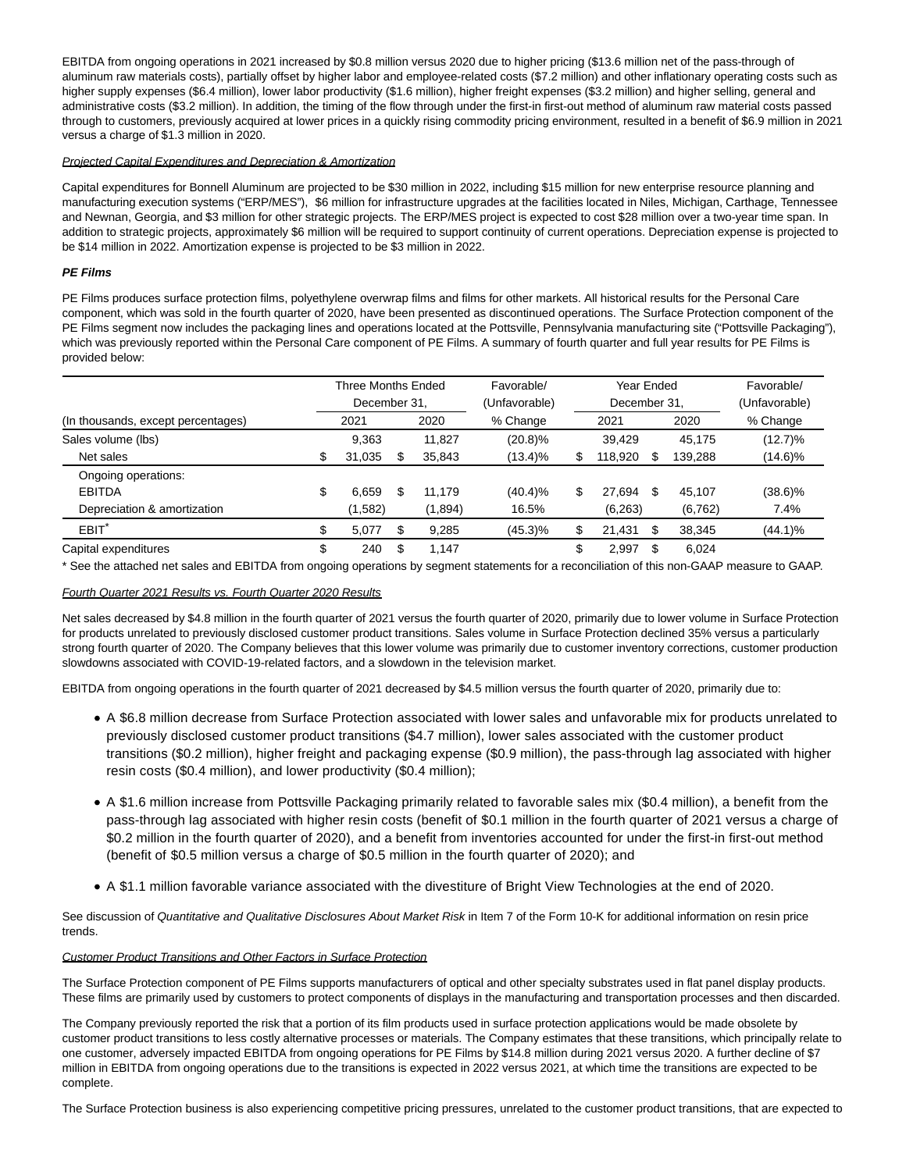EBITDA from ongoing operations in 2021 increased by \$0.8 million versus 2020 due to higher pricing (\$13.6 million net of the pass-through of aluminum raw materials costs), partially offset by higher labor and employee-related costs (\$7.2 million) and other inflationary operating costs such as higher supply expenses (\$6.4 million), lower labor productivity (\$1.6 million), higher freight expenses (\$3.2 million) and higher selling, general and administrative costs (\$3.2 million). In addition, the timing of the flow through under the first-in first-out method of aluminum raw material costs passed through to customers, previously acquired at lower prices in a quickly rising commodity pricing environment, resulted in a benefit of \$6.9 million in 2021 versus a charge of \$1.3 million in 2020.

#### Projected Capital Expenditures and Depreciation & Amortization

Capital expenditures for Bonnell Aluminum are projected to be \$30 million in 2022, including \$15 million for new enterprise resource planning and manufacturing execution systems ("ERP/MES"), \$6 million for infrastructure upgrades at the facilities located in Niles, Michigan, Carthage, Tennessee and Newnan, Georgia, and \$3 million for other strategic projects. The ERP/MES project is expected to cost \$28 million over a two-year time span. In addition to strategic projects, approximately \$6 million will be required to support continuity of current operations. Depreciation expense is projected to be \$14 million in 2022. Amortization expense is projected to be \$3 million in 2022.

#### **PE Films**

PE Films produces surface protection films, polyethylene overwrap films and films for other markets. All historical results for the Personal Care component, which was sold in the fourth quarter of 2020, have been presented as discontinued operations. The Surface Protection component of the PE Films segment now includes the packaging lines and operations located at the Pottsville, Pennsylvania manufacturing site ("Pottsville Packaging"), which was previously reported within the Personal Care component of PE Films. A summary of fourth quarter and full year results for PE Films is provided below:

|                                    |     | Three Months Ended |   |         | Favorable/    |    | Year Ended   |     |          | Favorable/    |  |  |
|------------------------------------|-----|--------------------|---|---------|---------------|----|--------------|-----|----------|---------------|--|--|
|                                    |     | December 31.       |   |         | (Unfavorable) |    | December 31. |     |          | (Unfavorable) |  |  |
| (In thousands, except percentages) |     | 2021               |   | 2020    | % Change      |    | 2021         |     | 2020     | % Change      |  |  |
| Sales volume (lbs)                 |     | 9.363              |   | 11.827  | $(20.8)\%$    |    | 39.429       |     | 45.175   | $(12.7)\%$    |  |  |
| Net sales                          | \$  | 31,035             | S | 35,843  | $(13.4)\%$    | \$ | 118,920      | S   | 139,288  | $(14.6)\%$    |  |  |
| Ongoing operations:                |     |                    |   |         |               |    |              |     |          |               |  |  |
| <b>EBITDA</b>                      | \$  | 6.659              | S | 11.179  | (40.4)%       | \$ | 27.694       | \$  | 45.107   | $(38.6)\%$    |  |  |
| Depreciation & amortization        |     | (1,582)            |   | (1,894) | 16.5%         |    | (6, 263)     |     | (6, 762) | 7.4%          |  |  |
| EBIT <sup>'</sup>                  | \$. | 5,077              | S | 9.285   | $(45.3)\%$    | S  | 21,431       | \$. | 38,345   | $(44.1)\%$    |  |  |
| Capital expenditures               | \$  | 240                |   | 1.147   |               | \$ | 2,997        | \$  | 6.024    |               |  |  |

\* See the attached net sales and EBITDA from ongoing operations by segment statements for a reconciliation of this non-GAAP measure to GAAP.

#### Fourth Quarter 2021 Results vs. Fourth Quarter 2020 Results

Net sales decreased by \$4.8 million in the fourth quarter of 2021 versus the fourth quarter of 2020, primarily due to lower volume in Surface Protection for products unrelated to previously disclosed customer product transitions. Sales volume in Surface Protection declined 35% versus a particularly strong fourth quarter of 2020. The Company believes that this lower volume was primarily due to customer inventory corrections, customer production slowdowns associated with COVID-19-related factors, and a slowdown in the television market.

EBITDA from ongoing operations in the fourth quarter of 2021 decreased by \$4.5 million versus the fourth quarter of 2020, primarily due to:

- A \$6.8 million decrease from Surface Protection associated with lower sales and unfavorable mix for products unrelated to previously disclosed customer product transitions (\$4.7 million), lower sales associated with the customer product transitions (\$0.2 million), higher freight and packaging expense (\$0.9 million), the pass-through lag associated with higher resin costs (\$0.4 million), and lower productivity (\$0.4 million);
- A \$1.6 million increase from Pottsville Packaging primarily related to favorable sales mix (\$0.4 million), a benefit from the pass-through lag associated with higher resin costs (benefit of \$0.1 million in the fourth quarter of 2021 versus a charge of \$0.2 million in the fourth quarter of 2020), and a benefit from inventories accounted for under the first-in first-out method (benefit of \$0.5 million versus a charge of \$0.5 million in the fourth quarter of 2020); and
- A \$1.1 million favorable variance associated with the divestiture of Bright View Technologies at the end of 2020.

See discussion of Quantitative and Qualitative Disclosures About Market Risk in Item 7 of the Form 10-K for additional information on resin price trends.

#### Customer Product Transitions and Other Factors in Surface Protection

The Surface Protection component of PE Films supports manufacturers of optical and other specialty substrates used in flat panel display products. These films are primarily used by customers to protect components of displays in the manufacturing and transportation processes and then discarded.

The Company previously reported the risk that a portion of its film products used in surface protection applications would be made obsolete by customer product transitions to less costly alternative processes or materials. The Company estimates that these transitions, which principally relate to one customer, adversely impacted EBITDA from ongoing operations for PE Films by \$14.8 million during 2021 versus 2020. A further decline of \$7 million in EBITDA from ongoing operations due to the transitions is expected in 2022 versus 2021, at which time the transitions are expected to be complete.

The Surface Protection business is also experiencing competitive pricing pressures, unrelated to the customer product transitions, that are expected to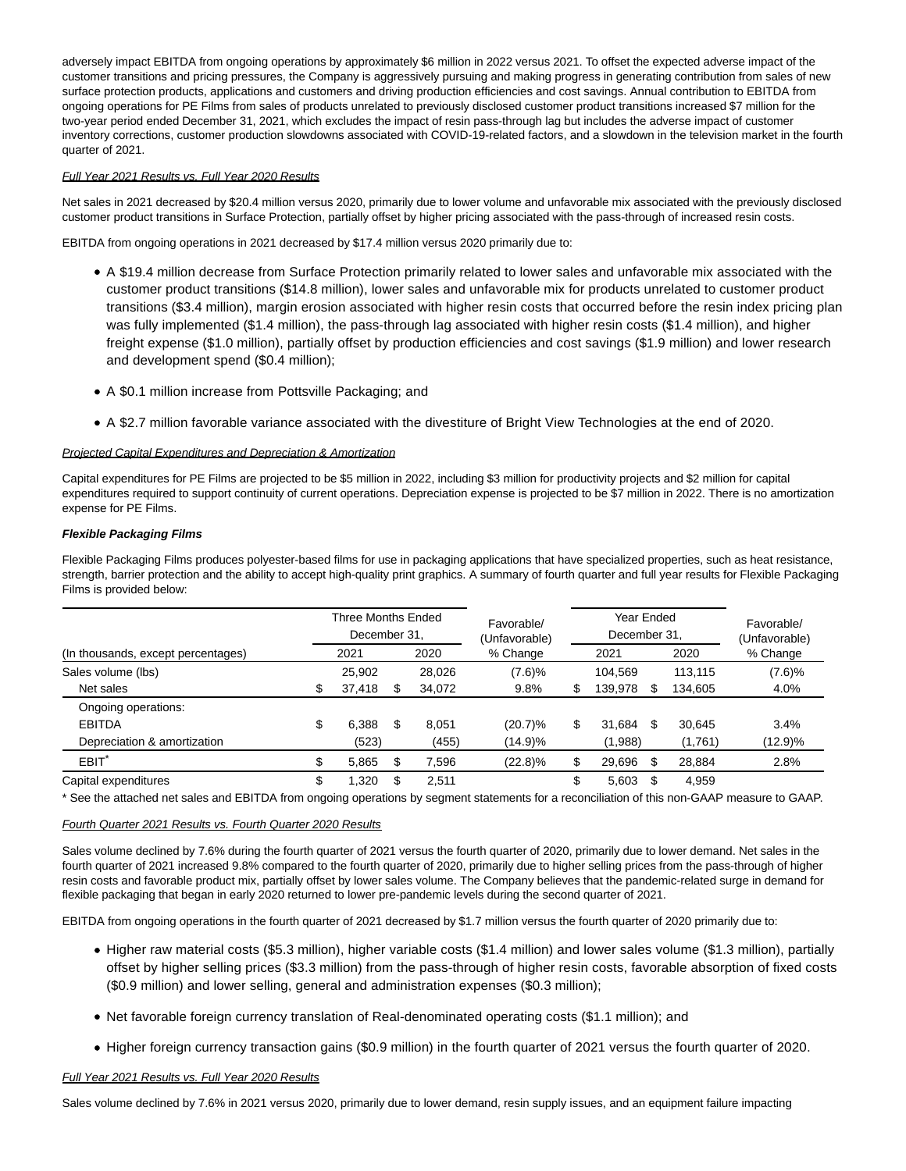adversely impact EBITDA from ongoing operations by approximately \$6 million in 2022 versus 2021. To offset the expected adverse impact of the customer transitions and pricing pressures, the Company is aggressively pursuing and making progress in generating contribution from sales of new surface protection products, applications and customers and driving production efficiencies and cost savings. Annual contribution to EBITDA from ongoing operations for PE Films from sales of products unrelated to previously disclosed customer product transitions increased \$7 million for the two-year period ended December 31, 2021, which excludes the impact of resin pass-through lag but includes the adverse impact of customer inventory corrections, customer production slowdowns associated with COVID-19-related factors, and a slowdown in the television market in the fourth quarter of 2021.

#### Full Year 2021 Results vs. Full Year 2020 Results

Net sales in 2021 decreased by \$20.4 million versus 2020, primarily due to lower volume and unfavorable mix associated with the previously disclosed customer product transitions in Surface Protection, partially offset by higher pricing associated with the pass-through of increased resin costs.

EBITDA from ongoing operations in 2021 decreased by \$17.4 million versus 2020 primarily due to:

- A \$19.4 million decrease from Surface Protection primarily related to lower sales and unfavorable mix associated with the customer product transitions (\$14.8 million), lower sales and unfavorable mix for products unrelated to customer product transitions (\$3.4 million), margin erosion associated with higher resin costs that occurred before the resin index pricing plan was fully implemented (\$1.4 million), the pass-through lag associated with higher resin costs (\$1.4 million), and higher freight expense (\$1.0 million), partially offset by production efficiencies and cost savings (\$1.9 million) and lower research and development spend (\$0.4 million);
- A \$0.1 million increase from Pottsville Packaging; and
- A \$2.7 million favorable variance associated with the divestiture of Bright View Technologies at the end of 2020.

#### Projected Capital Expenditures and Depreciation & Amortization

Capital expenditures for PE Films are projected to be \$5 million in 2022, including \$3 million for productivity projects and \$2 million for capital expenditures required to support continuity of current operations. Depreciation expense is projected to be \$7 million in 2022. There is no amortization expense for PE Films.

#### **Flexible Packaging Films**

Flexible Packaging Films produces polyester-based films for use in packaging applications that have specialized properties, such as heat resistance, strength, barrier protection and the ability to accept high-quality print graphics. A summary of fourth quarter and full year results for Flexible Packaging Films is provided below:

|                                    |     | Three Months Ended<br>December 31, |        | Favorable/<br>(Unfavorable) | Year Ended<br>December 31. | Favorable/<br>(Unfavorable) |          |
|------------------------------------|-----|------------------------------------|--------|-----------------------------|----------------------------|-----------------------------|----------|
| (In thousands, except percentages) |     | 2021                               | 2020   | % Change                    | 2021                       | 2020                        | % Change |
| Sales volume (lbs)                 |     | 25,902                             | 28.026 | (7.6)%                      | 104.569                    | 113.115                     | (7.6)%   |
| Net sales                          | \$. | 37,418                             | 34,072 | 9.8%                        | \$<br>139,978              | 134,605                     | 4.0%     |
| Ongoing operations:                |     |                                    |        |                             |                            |                             |          |
| <b>EBITDA</b>                      | \$  | 6.388                              | 8.051  | $(20.7)\%$                  | \$<br>31.684               | \$<br>30.645                | 3.4%     |
| Depreciation & amortization        |     | (523)                              | (455)  | (14.9)%                     | (1,988)                    | (1,761)                     | (12.9)%  |
| EBIT <sup>'</sup>                  |     | 5.865                              | 7.596  | $(22.8)\%$                  | \$<br>29.696               | 28,884                      | 2.8%     |
| Capital expenditures               | S   | .320                               | 2.511  |                             | \$<br>5,603                | 4.959                       |          |

\* See the attached net sales and EBITDA from ongoing operations by segment statements for a reconciliation of this non-GAAP measure to GAAP.

#### Fourth Quarter 2021 Results vs. Fourth Quarter 2020 Results

Sales volume declined by 7.6% during the fourth quarter of 2021 versus the fourth quarter of 2020, primarily due to lower demand. Net sales in the fourth quarter of 2021 increased 9.8% compared to the fourth quarter of 2020, primarily due to higher selling prices from the pass-through of higher resin costs and favorable product mix, partially offset by lower sales volume. The Company believes that the pandemic-related surge in demand for flexible packaging that began in early 2020 returned to lower pre-pandemic levels during the second quarter of 2021.

EBITDA from ongoing operations in the fourth quarter of 2021 decreased by \$1.7 million versus the fourth quarter of 2020 primarily due to:

- Higher raw material costs (\$5.3 million), higher variable costs (\$1.4 million) and lower sales volume (\$1.3 million), partially offset by higher selling prices (\$3.3 million) from the pass-through of higher resin costs, favorable absorption of fixed costs (\$0.9 million) and lower selling, general and administration expenses (\$0.3 million);
- Net favorable foreign currency translation of Real-denominated operating costs (\$1.1 million); and
- Higher foreign currency transaction gains (\$0.9 million) in the fourth quarter of 2021 versus the fourth quarter of 2020.

#### Full Year 2021 Results vs. Full Year 2020 Results

Sales volume declined by 7.6% in 2021 versus 2020, primarily due to lower demand, resin supply issues, and an equipment failure impacting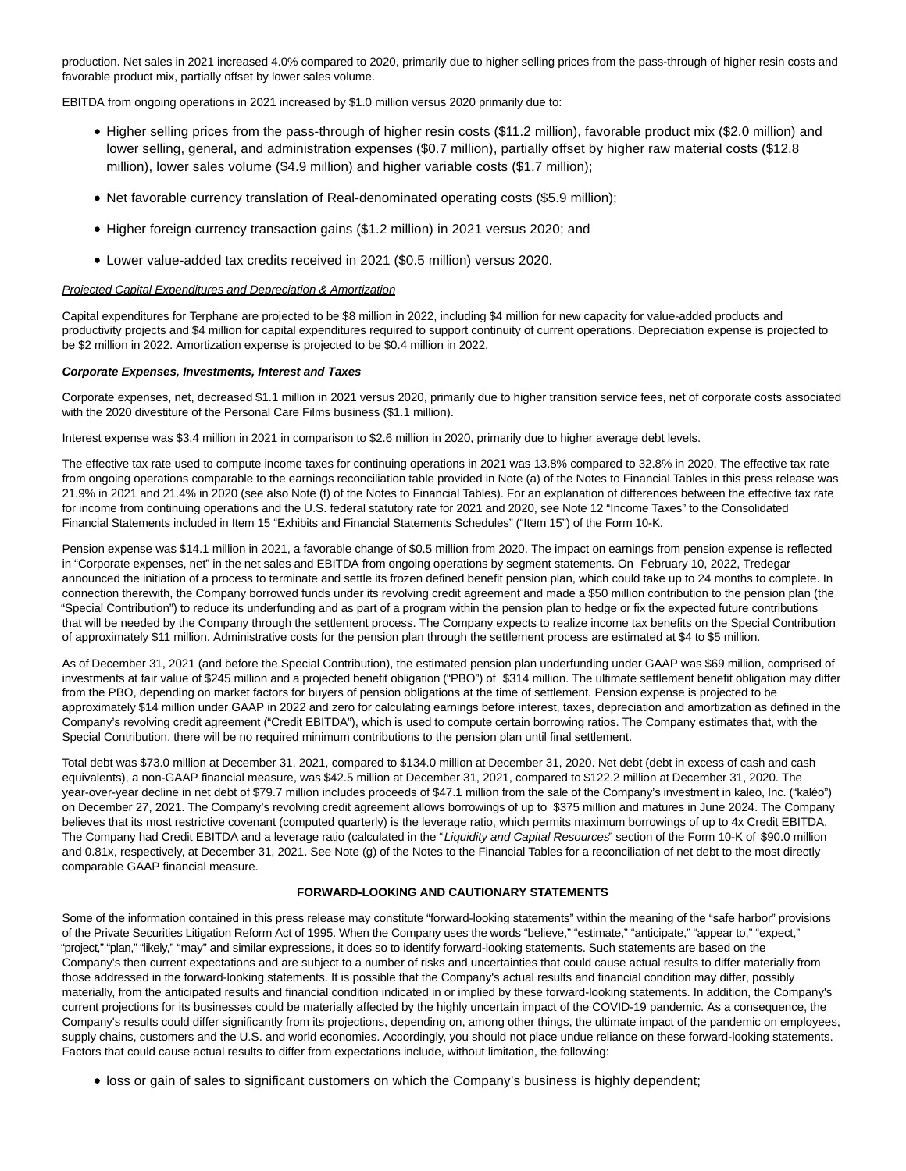production. Net sales in 2021 increased 4.0% compared to 2020, primarily due to higher selling prices from the pass-through of higher resin costs and favorable product mix, partially offset by lower sales volume.

EBITDA from ongoing operations in 2021 increased by \$1.0 million versus 2020 primarily due to:

- Higher selling prices from the pass-through of higher resin costs (\$11.2 million), favorable product mix (\$2.0 million) and lower selling, general, and administration expenses (\$0.7 million), partially offset by higher raw material costs (\$12.8 million), lower sales volume (\$4.9 million) and higher variable costs (\$1.7 million);
- Net favorable currency translation of Real-denominated operating costs (\$5.9 million);
- Higher foreign currency transaction gains (\$1.2 million) in 2021 versus 2020; and
- Lower value-added tax credits received in 2021 (\$0.5 million) versus 2020.

#### Projected Capital Expenditures and Depreciation & Amortization

Capital expenditures for Terphane are projected to be \$8 million in 2022, including \$4 million for new capacity for value-added products and productivity projects and \$4 million for capital expenditures required to support continuity of current operations. Depreciation expense is projected to be \$2 million in 2022. Amortization expense is projected to be \$0.4 million in 2022.

#### **Corporate Expenses, Investments, Interest and Taxes**

Corporate expenses, net, decreased \$1.1 million in 2021 versus 2020, primarily due to higher transition service fees, net of corporate costs associated with the 2020 divestiture of the Personal Care Films business (\$1.1 million).

Interest expense was \$3.4 million in 2021 in comparison to \$2.6 million in 2020, primarily due to higher average debt levels.

The effective tax rate used to compute income taxes for continuing operations in 2021 was 13.8% compared to 32.8% in 2020. The effective tax rate from ongoing operations comparable to the earnings reconciliation table provided in Note (a) of the Notes to Financial Tables in this press release was 21.9% in 2021 and 21.4% in 2020 (see also Note (f) of the Notes to Financial Tables). For an explanation of differences between the effective tax rate for income from continuing operations and the U.S. federal statutory rate for 2021 and 2020, see Note 12 "Income Taxes" to the Consolidated Financial Statements included in Item 15 "Exhibits and Financial Statements Schedules" ("Item 15") of the Form 10-K.

Pension expense was \$14.1 million in 2021, a favorable change of \$0.5 million from 2020. The impact on earnings from pension expense is reflected in "Corporate expenses, net" in the net sales and EBITDA from ongoing operations by segment statements. On February 10, 2022, Tredegar announced the initiation of a process to terminate and settle its frozen defined benefit pension plan, which could take up to 24 months to complete. In connection therewith, the Company borrowed funds under its revolving credit agreement and made a \$50 million contribution to the pension plan (the "Special Contribution") to reduce its underfunding and as part of a program within the pension plan to hedge or fix the expected future contributions that will be needed by the Company through the settlement process. The Company expects to realize income tax benefits on the Special Contribution of approximately \$11 million. Administrative costs for the pension plan through the settlement process are estimated at \$4 to \$5 million.

As of December 31, 2021 (and before the Special Contribution), the estimated pension plan underfunding under GAAP was \$69 million, comprised of investments at fair value of \$245 million and a projected benefit obligation ("PBO") of \$314 million. The ultimate settlement benefit obligation may differ from the PBO, depending on market factors for buyers of pension obligations at the time of settlement. Pension expense is projected to be approximately \$14 million under GAAP in 2022 and zero for calculating earnings before interest, taxes, depreciation and amortization as defined in the Company's revolving credit agreement ("Credit EBITDA"), which is used to compute certain borrowing ratios. The Company estimates that, with the Special Contribution, there will be no required minimum contributions to the pension plan until final settlement.

Total debt was \$73.0 million at December 31, 2021, compared to \$134.0 million at December 31, 2020. Net debt (debt in excess of cash and cash equivalents), a non-GAAP financial measure, was \$42.5 million at December 31, 2021, compared to \$122.2 million at December 31, 2020. The year-over-year decline in net debt of \$79.7 million includes proceeds of \$47.1 million from the sale of the Company's investment in kaleo, Inc. ("kaléo") on December 27, 2021. The Company's revolving credit agreement allows borrowings of up to \$375 million and matures in June 2024. The Company believes that its most restrictive covenant (computed quarterly) is the leverage ratio, which permits maximum borrowings of up to 4x Credit EBITDA. The Company had Credit EBITDA and a leverage ratio (calculated in the "Liquidity and Capital Resources" section of the Form 10-K of \$90.0 million and 0.81x, respectively, at December 31, 2021. See Note (g) of the Notes to the Financial Tables for a reconciliation of net debt to the most directly comparable GAAP financial measure.

#### **FORWARD-LOOKING AND CAUTIONARY STATEMENTS**

Some of the information contained in this press release may constitute "forward-looking statements" within the meaning of the "safe harbor" provisions of the Private Securities Litigation Reform Act of 1995. When the Company uses the words "believe," "estimate," "anticipate," "appear to," "expect," "project," "plan," "likely," "may" and similar expressions, it does so to identify forward-looking statements. Such statements are based on the Company's then current expectations and are subject to a number of risks and uncertainties that could cause actual results to differ materially from those addressed in the forward-looking statements. It is possible that the Company's actual results and financial condition may differ, possibly materially, from the anticipated results and financial condition indicated in or implied by these forward-looking statements. In addition, the Company's current projections for its businesses could be materially affected by the highly uncertain impact of the COVID-19 pandemic. As a consequence, the Company's results could differ significantly from its projections, depending on, among other things, the ultimate impact of the pandemic on employees, supply chains, customers and the U.S. and world economies. Accordingly, you should not place undue reliance on these forward-looking statements. Factors that could cause actual results to differ from expectations include, without limitation, the following:

loss or gain of sales to significant customers on which the Company's business is highly dependent;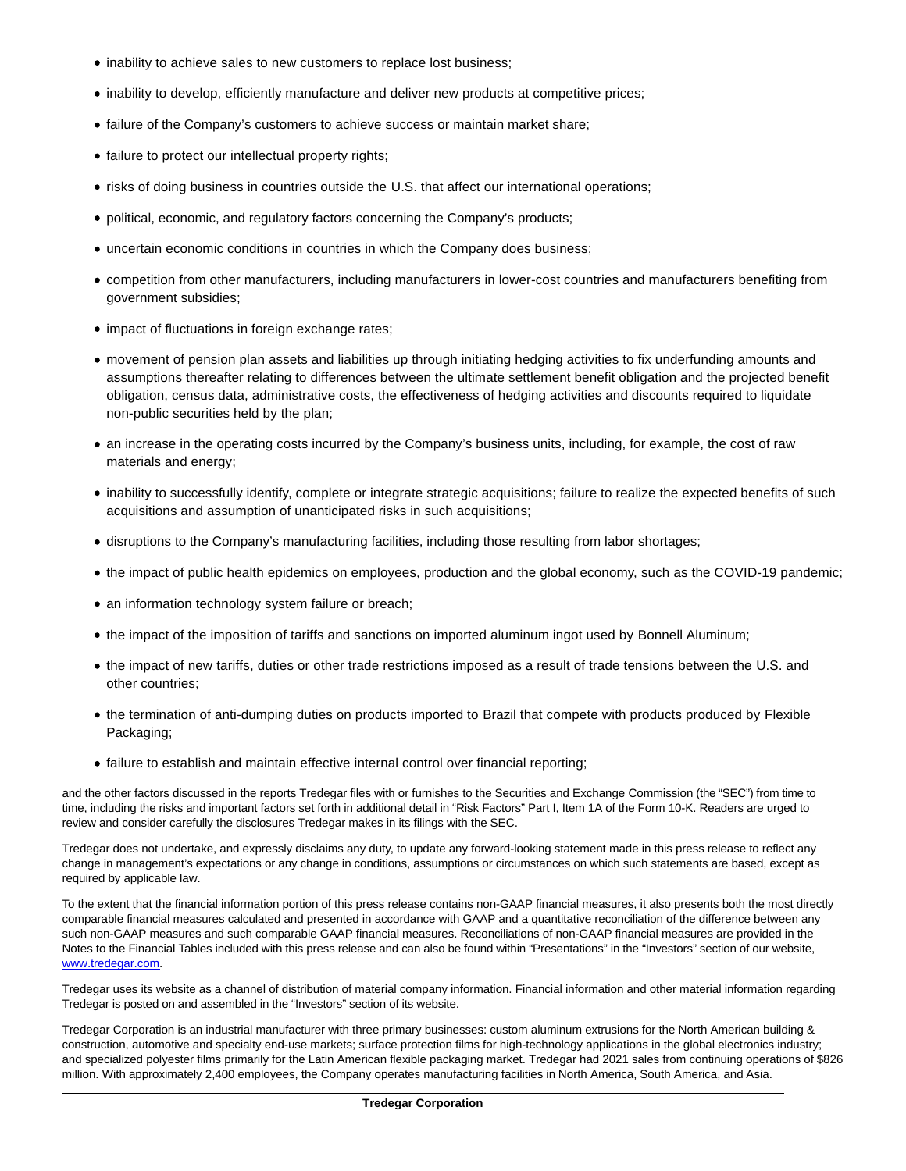- inability to achieve sales to new customers to replace lost business;
- inability to develop, efficiently manufacture and deliver new products at competitive prices;
- failure of the Company's customers to achieve success or maintain market share;
- failure to protect our intellectual property rights;
- risks of doing business in countries outside the U.S. that affect our international operations;
- political, economic, and regulatory factors concerning the Company's products;
- uncertain economic conditions in countries in which the Company does business;
- competition from other manufacturers, including manufacturers in lower-cost countries and manufacturers benefiting from government subsidies;
- impact of fluctuations in foreign exchange rates;
- movement of pension plan assets and liabilities up through initiating hedging activities to fix underfunding amounts and assumptions thereafter relating to differences between the ultimate settlement benefit obligation and the projected benefit obligation, census data, administrative costs, the effectiveness of hedging activities and discounts required to liquidate non-public securities held by the plan;
- an increase in the operating costs incurred by the Company's business units, including, for example, the cost of raw materials and energy;
- inability to successfully identify, complete or integrate strategic acquisitions; failure to realize the expected benefits of such acquisitions and assumption of unanticipated risks in such acquisitions;
- disruptions to the Company's manufacturing facilities, including those resulting from labor shortages;
- the impact of public health epidemics on employees, production and the global economy, such as the COVID-19 pandemic;
- an information technology system failure or breach;
- the impact of the imposition of tariffs and sanctions on imported aluminum ingot used by Bonnell Aluminum;
- the impact of new tariffs, duties or other trade restrictions imposed as a result of trade tensions between the U.S. and other countries;
- the termination of anti-dumping duties on products imported to Brazil that compete with products produced by Flexible Packaging;
- failure to establish and maintain effective internal control over financial reporting;

and the other factors discussed in the reports Tredegar files with or furnishes to the Securities and Exchange Commission (the "SEC") from time to time, including the risks and important factors set forth in additional detail in "Risk Factors" Part I, Item 1A of the Form 10-K. Readers are urged to review and consider carefully the disclosures Tredegar makes in its filings with the SEC.

Tredegar does not undertake, and expressly disclaims any duty, to update any forward-looking statement made in this press release to reflect any change in management's expectations or any change in conditions, assumptions or circumstances on which such statements are based, except as required by applicable law.

To the extent that the financial information portion of this press release contains non-GAAP financial measures, it also presents both the most directly comparable financial measures calculated and presented in accordance with GAAP and a quantitative reconciliation of the difference between any such non-GAAP measures and such comparable GAAP financial measures. Reconciliations of non-GAAP financial measures are provided in the Notes to the Financial Tables included with this press release and can also be found within "Presentations" in the "Investors" section of our website, [www.tredegar.com.](https://cts.businesswire.com/ct/CT?id=smartlink&url=http%3A%2F%2Fwww.tredegar.com&esheet=52593211&newsitemid=20220311005038&lan=en-US&anchor=www.tredegar.com&index=1&md5=de6865aac84002aa31c9819a9e5a63e4)

Tredegar uses its website as a channel of distribution of material company information. Financial information and other material information regarding Tredegar is posted on and assembled in the "Investors" section of its website.

Tredegar Corporation is an industrial manufacturer with three primary businesses: custom aluminum extrusions for the North American building & construction, automotive and specialty end-use markets; surface protection films for high-technology applications in the global electronics industry; and specialized polyester films primarily for the Latin American flexible packaging market. Tredegar had 2021 sales from continuing operations of \$826 million. With approximately 2,400 employees, the Company operates manufacturing facilities in North America, South America, and Asia.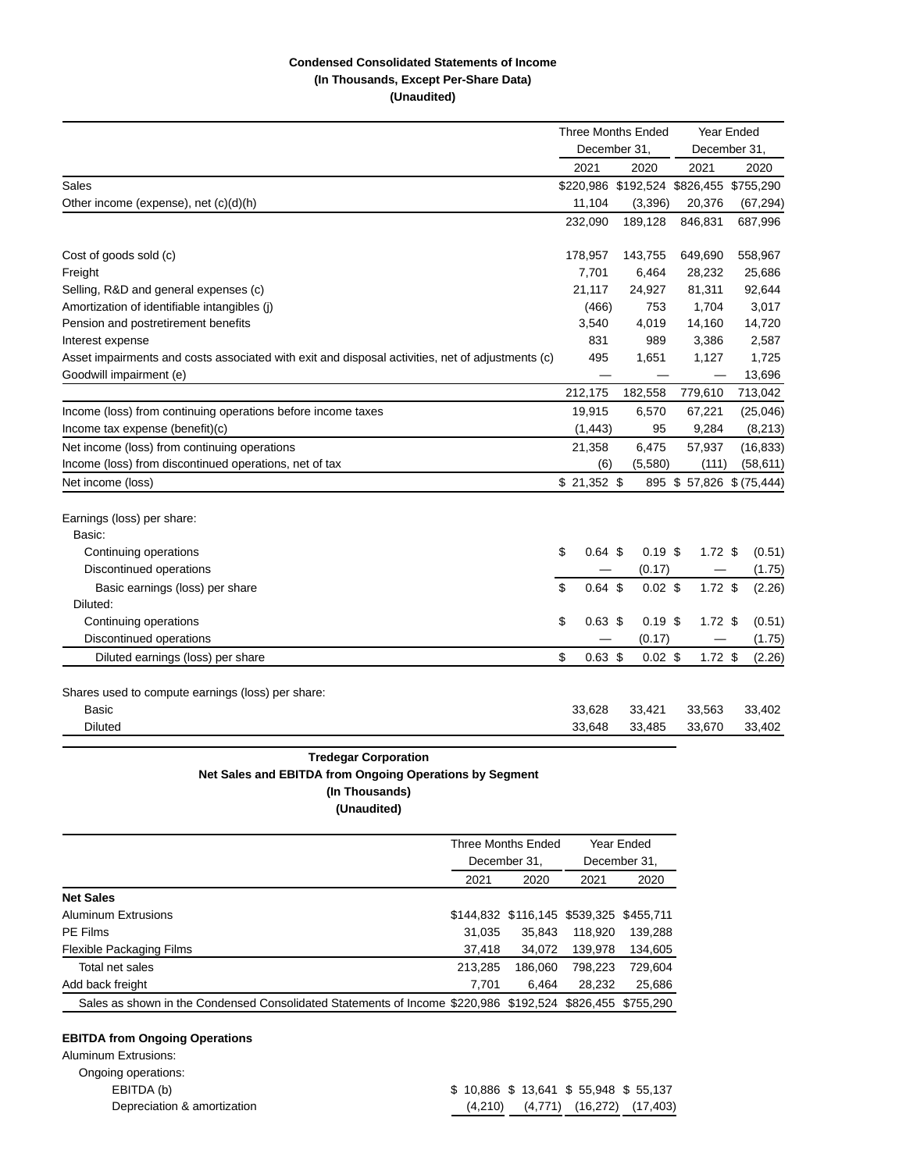### **Condensed Consolidated Statements of Income (In Thousands, Except Per-Share Data) (Unaudited)**

|                                                                                                                             |                 | <b>Three Months Ended</b> |           |                   | Year Ended                              |  |  |
|-----------------------------------------------------------------------------------------------------------------------------|-----------------|---------------------------|-----------|-------------------|-----------------------------------------|--|--|
|                                                                                                                             |                 | December 31,              |           |                   | December 31,                            |  |  |
|                                                                                                                             | 2021            | 2020                      |           | 2021              | 2020                                    |  |  |
| <b>Sales</b>                                                                                                                |                 |                           |           |                   | \$220,986 \$192,524 \$826,455 \$755,290 |  |  |
| Other income (expense), net (c)(d)(h)                                                                                       | 11,104          | (3, 396)                  |           | 20,376            | (67, 294)                               |  |  |
|                                                                                                                             | 232,090         | 189,128                   |           | 846,831           | 687,996                                 |  |  |
| Cost of goods sold (c)                                                                                                      | 178,957         | 143,755                   |           | 649,690           | 558,967                                 |  |  |
| Freight                                                                                                                     | 7,701           | 6,464                     |           | 28,232            | 25,686                                  |  |  |
| Selling, R&D and general expenses (c)                                                                                       | 21,117          | 24,927                    |           | 81,311            | 92,644                                  |  |  |
| Amortization of identifiable intangibles (j)                                                                                | (466)           |                           | 753       | 1,704             | 3,017                                   |  |  |
| Pension and postretirement benefits                                                                                         | 3,540           | 4,019                     |           | 14,160            | 14,720                                  |  |  |
| Interest expense                                                                                                            | 831             |                           | 989       | 3,386             | 2,587                                   |  |  |
| Asset impairments and costs associated with exit and disposal activities, net of adjustments (c)<br>Goodwill impairment (e) | 495             | 1,651                     |           | 1,127             | 1,725<br>13,696                         |  |  |
|                                                                                                                             | 212,175         | 182,558                   |           | 779,610           | 713,042                                 |  |  |
| Income (loss) from continuing operations before income taxes                                                                | 19,915          | 6,570                     |           | 67,221            | (25, 046)                               |  |  |
| Income tax expense (benefit)(c)                                                                                             | (1, 443)        |                           | 95        | 9,284             | (8, 213)                                |  |  |
| Net income (loss) from continuing operations                                                                                | 21,358          | 6,475                     |           | 57,937            | (16, 833)                               |  |  |
| Income (loss) from discontinued operations, net of tax                                                                      | (6)             | (5,580)                   |           | (111)             | (58, 611)                               |  |  |
| Net income (loss)                                                                                                           | $$21,352$ \$    |                           |           |                   | 895 \$57,826 \$(75,444)                 |  |  |
| Earnings (loss) per share:<br>Basic:                                                                                        |                 |                           |           |                   |                                         |  |  |
| Continuing operations                                                                                                       | \$<br>$0.64$ \$ |                           | $0.19$ \$ | 1.72 <sup>°</sup> | (0.51)                                  |  |  |
| Discontinued operations                                                                                                     |                 | (0.17)                    |           |                   | (1.75)                                  |  |  |
| Basic earnings (loss) per share                                                                                             | \$<br>$0.64$ \$ |                           | $0.02$ \$ | 1.72 <sup>°</sup> | (2.26)                                  |  |  |
| Diluted:                                                                                                                    |                 |                           |           |                   |                                         |  |  |
| Continuing operations                                                                                                       | \$<br>0.63~\$   |                           | $0.19$ \$ | $1.72$ \$         | (0.51)                                  |  |  |
| Discontinued operations                                                                                                     |                 |                           | (0.17)    |                   | (1.75)                                  |  |  |
| Diluted earnings (loss) per share                                                                                           | \$<br>$0.63$ \$ |                           | $0.02$ \$ | $1.72$ \$         | (2.26)                                  |  |  |
| Shares used to compute earnings (loss) per share:                                                                           |                 |                           |           |                   |                                         |  |  |
| Basic                                                                                                                       | 33,628          | 33,421                    |           | 33,563            | 33,402                                  |  |  |
| <b>Diluted</b>                                                                                                              | 33,648          | 33,485                    |           | 33,670            | 33,402                                  |  |  |
|                                                                                                                             |                 |                           |           |                   |                                         |  |  |
| <b>Tredegar Corporation</b><br>$\mathbf{f}_{\text{max}}$ $\mathbf{f}_{\text{max}}$<br><b>COUTD</b>                          |                 |                           |           |                   |                                         |  |  |

**Net Sales and EBITDA from Ongoing Operations by Segment (In Thousands)**

**(Unaudited)**

|                                                                                                           |         | <b>Three Months Ended</b>               | Year Ended |              |  |  |
|-----------------------------------------------------------------------------------------------------------|---------|-----------------------------------------|------------|--------------|--|--|
|                                                                                                           |         | December 31.                            |            | December 31, |  |  |
|                                                                                                           | 2021    | 2020                                    | 2021       | 2020         |  |  |
| <b>Net Sales</b>                                                                                          |         |                                         |            |              |  |  |
| Aluminum Extrusions                                                                                       |         | \$144,832 \$116,145 \$539,325 \$455,711 |            |              |  |  |
| PF Films                                                                                                  | 31,035  | 35.843                                  | 118.920    | 139,288      |  |  |
| Flexible Packaging Films                                                                                  | 37,418  | 34,072                                  | 139,978    | 134,605      |  |  |
| Total net sales                                                                                           | 213,285 | 186.060                                 | 798.223    | 729.604      |  |  |
| Add back freight                                                                                          | 7.701   | 6.464                                   | 28.232     | 25,686       |  |  |
| Sales as shown in the Condensed Consolidated Statements of Income \$220,986 \$192,524 \$826,455 \$755,290 |         |                                         |            |              |  |  |
|                                                                                                           |         |                                         |            |              |  |  |

# **EBITDA from Ongoing Operations**

| Ongoing operations:         |         |                                     |  |
|-----------------------------|---------|-------------------------------------|--|
| EBITDA (b)                  |         | \$10,886 \$13,641 \$55,948 \$55,137 |  |
| Depreciation & amortization | (4.210) | $(4,771)$ $(16,272)$ $(17,403)$     |  |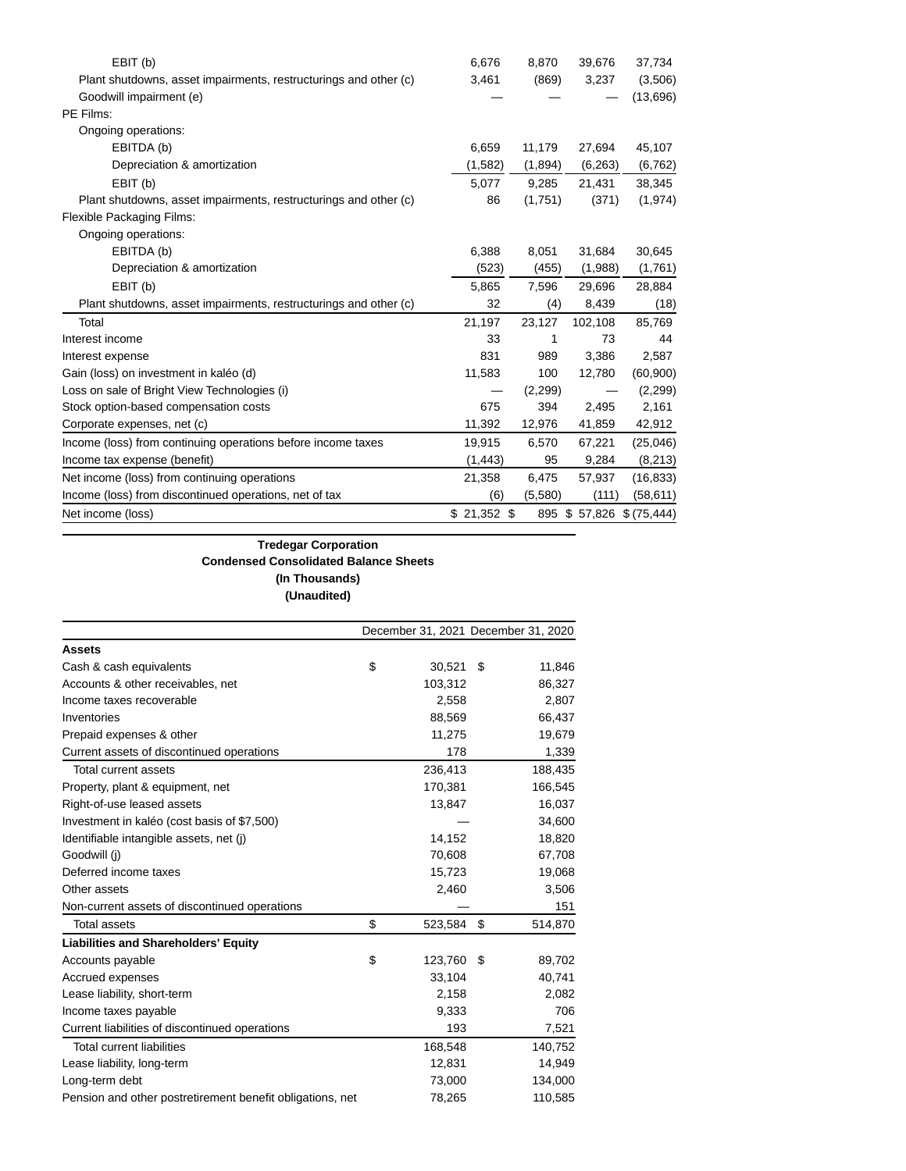| EBIT(b)                                                          | 6,676        | 8,870   | 39,676   | 37,734             |
|------------------------------------------------------------------|--------------|---------|----------|--------------------|
| Plant shutdowns, asset impairments, restructurings and other (c) | 3,461        | (869)   | 3,237    | (3,506)            |
| Goodwill impairment (e)                                          |              |         |          | (13,696)           |
| PE Films:                                                        |              |         |          |                    |
| Ongoing operations:                                              |              |         |          |                    |
| EBITDA (b)                                                       |              |         |          |                    |
|                                                                  | 6,659        | 11,179  | 27,694   | 45,107             |
| Depreciation & amortization                                      | (1,582)      | (1,894) | (6, 263) | (6, 762)           |
| EBIT(b)                                                          | 5,077        | 9,285   | 21,431   | 38,345             |
| Plant shutdowns, asset impairments, restructurings and other (c) | 86           | (1,751) | (371)    | (1, 974)           |
| Flexible Packaging Films:                                        |              |         |          |                    |
| Ongoing operations:                                              |              |         |          |                    |
| EBITDA (b)                                                       | 6,388        | 8,051   | 31,684   | 30,645             |
| Depreciation & amortization                                      | (523)        | (455)   | (1,988)  | (1,761)            |
| EBIT (b)                                                         | 5,865        | 7,596   | 29,696   | 28,884             |
| Plant shutdowns, asset impairments, restructurings and other (c) | 32           | (4)     | 8,439    | (18)               |
| Total                                                            | 21,197       | 23,127  | 102,108  | 85,769             |
| Interest income                                                  | 33           | 1       | 73       | 44                 |
| Interest expense                                                 | 831          | 989     | 3,386    | 2,587              |
| Gain (loss) on investment in kaléo (d)                           | 11,583       | 100     | 12,780   | (60, 900)          |
| Loss on sale of Bright View Technologies (i)                     |              | (2,299) |          | (2, 299)           |
| Stock option-based compensation costs                            | 675          | 394     | 2,495    | 2,161              |
| Corporate expenses, net (c)                                      | 11,392       | 12,976  | 41,859   | 42,912             |
| Income (loss) from continuing operations before income taxes     | 19,915       | 6,570   | 67,221   | (25, 046)          |
| Income tax expense (benefit)                                     | (1, 443)     | 95      | 9,284    | (8, 213)           |
| Net income (loss) from continuing operations                     | 21,358       | 6,475   | 57,937   | (16, 833)          |
| Income (loss) from discontinued operations, net of tax           | (6)          | (5,580) | (111)    | (58, 611)          |
| Net income (loss)                                                | $$21,352$ \$ | 895\$   |          | 57,826 \$ (75,444) |

## **Tredegar Corporation Condensed Consolidated Balance Sheets (In Thousands) (Unaudited)**

|                                                           |               | December 31, 2021 December 31, 2020 |
|-----------------------------------------------------------|---------------|-------------------------------------|
| <b>Assets</b>                                             |               |                                     |
| Cash & cash equivalents                                   | \$<br>30.521  | \$<br>11,846                        |
| Accounts & other receivables, net                         | 103,312       | 86,327                              |
| Income taxes recoverable                                  | 2,558         | 2,807                               |
| Inventories                                               | 88,569        | 66,437                              |
| Prepaid expenses & other                                  | 11,275        | 19,679                              |
| Current assets of discontinued operations                 | 178           | 1,339                               |
| Total current assets                                      | 236,413       | 188,435                             |
| Property, plant & equipment, net                          | 170,381       | 166,545                             |
| Right-of-use leased assets                                | 13,847        | 16,037                              |
| Investment in kaléo (cost basis of \$7,500)               |               | 34,600                              |
| Identifiable intangible assets, net (j)                   | 14,152        | 18,820                              |
| Goodwill (i)                                              | 70,608        | 67,708                              |
| Deferred income taxes                                     | 15,723        | 19,068                              |
| Other assets                                              | 2,460         | 3,506                               |
| Non-current assets of discontinued operations             |               | 151                                 |
| <b>Total assets</b>                                       | \$<br>523,584 | \$<br>514,870                       |
| <b>Liabilities and Shareholders' Equity</b>               |               |                                     |
| Accounts payable                                          | \$<br>123,760 | \$<br>89,702                        |
| Accrued expenses                                          | 33,104        | 40,741                              |
| Lease liability, short-term                               | 2,158         | 2,082                               |
| Income taxes payable                                      | 9,333         | 706                                 |
| Current liabilities of discontinued operations            | 193           | 7,521                               |
| <b>Total current liabilities</b>                          | 168,548       | 140,752                             |
| Lease liability, long-term                                | 12,831        | 14,949                              |
| Long-term debt                                            | 73,000        | 134,000                             |
| Pension and other postretirement benefit obligations, net | 78,265        | 110,585                             |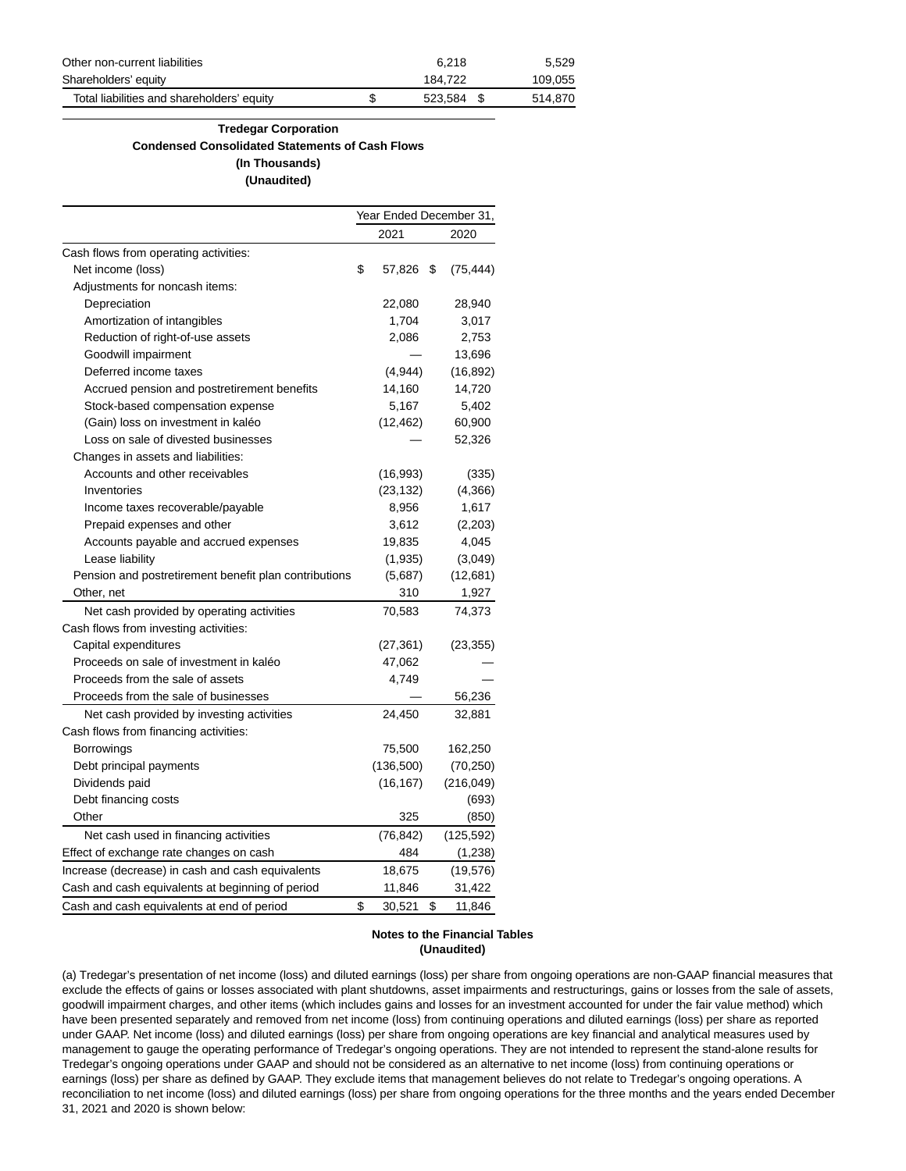| Other non-current liabilities              | 6.218   | 5.529   |
|--------------------------------------------|---------|---------|
| Shareholders' equity                       | 184.722 | 109,055 |
| Total liabilities and shareholders' equity | 523.584 | 514.870 |

#### **Tredegar Corporation Condensed Consolidated Statements of Cash Flows (In Thousands) (Unaudited)**

|                                                       | Year Ended December 31, |            |    |            |  |  |
|-------------------------------------------------------|-------------------------|------------|----|------------|--|--|
|                                                       |                         | 2021       |    | 2020       |  |  |
| Cash flows from operating activities:                 |                         |            |    |            |  |  |
| Net income (loss)                                     | \$                      | 57,826     | \$ | (75, 444)  |  |  |
| Adjustments for noncash items:                        |                         |            |    |            |  |  |
| Depreciation                                          |                         | 22,080     |    | 28,940     |  |  |
| Amortization of intangibles                           |                         | 1,704      |    | 3,017      |  |  |
| Reduction of right-of-use assets                      |                         | 2,086      |    | 2,753      |  |  |
| Goodwill impairment                                   |                         |            |    | 13,696     |  |  |
| Deferred income taxes                                 |                         | (4, 944)   |    | (16, 892)  |  |  |
| Accrued pension and postretirement benefits           |                         | 14,160     |    | 14,720     |  |  |
| Stock-based compensation expense                      |                         | 5,167      |    | 5,402      |  |  |
| (Gain) loss on investment in kaléo                    |                         | (12, 462)  |    | 60,900     |  |  |
| Loss on sale of divested businesses                   |                         |            |    | 52,326     |  |  |
| Changes in assets and liabilities:                    |                         |            |    |            |  |  |
| Accounts and other receivables                        |                         | (16,993)   |    | (335)      |  |  |
| Inventories                                           |                         | (23, 132)  |    | (4,366)    |  |  |
| Income taxes recoverable/payable                      |                         | 8,956      |    | 1,617      |  |  |
| Prepaid expenses and other                            |                         | 3,612      |    | (2,203)    |  |  |
| Accounts payable and accrued expenses                 |                         | 19,835     |    | 4,045      |  |  |
| Lease liability                                       |                         | (1,935)    |    | (3,049)    |  |  |
| Pension and postretirement benefit plan contributions |                         | (5,687)    |    | (12,681)   |  |  |
| Other, net                                            |                         | 310        |    | 1,927      |  |  |
| Net cash provided by operating activities             |                         | 70,583     |    | 74,373     |  |  |
| Cash flows from investing activities:                 |                         |            |    |            |  |  |
| Capital expenditures                                  |                         | (27, 361)  |    | (23, 355)  |  |  |
| Proceeds on sale of investment in kaléo               |                         | 47,062     |    |            |  |  |
| Proceeds from the sale of assets                      |                         | 4,749      |    |            |  |  |
| Proceeds from the sale of businesses                  |                         |            |    | 56,236     |  |  |
| Net cash provided by investing activities             |                         | 24,450     |    | 32,881     |  |  |
| Cash flows from financing activities:                 |                         |            |    |            |  |  |
| Borrowings                                            |                         | 75,500     |    | 162,250    |  |  |
| Debt principal payments                               |                         | (136, 500) |    | (70, 250)  |  |  |
| Dividends paid                                        |                         | (16, 167)  |    | (216, 049) |  |  |
| Debt financing costs                                  |                         |            |    | (693)      |  |  |
| Other                                                 |                         | 325        |    | (850)      |  |  |
| Net cash used in financing activities                 |                         | (76, 842)  |    | (125, 592) |  |  |
| Effect of exchange rate changes on cash               |                         | 484        |    | (1, 238)   |  |  |
| Increase (decrease) in cash and cash equivalents      |                         | 18,675     |    | (19, 576)  |  |  |
| Cash and cash equivalents at beginning of period      |                         | 11,846     |    | 31,422     |  |  |
| Cash and cash equivalents at end of period            | \$                      | 30,521     | \$ | 11,846     |  |  |

#### **Notes to the Financial Tables (Unaudited)**

(a) Tredegar's presentation of net income (loss) and diluted earnings (loss) per share from ongoing operations are non-GAAP financial measures that exclude the effects of gains or losses associated with plant shutdowns, asset impairments and restructurings, gains or losses from the sale of assets, goodwill impairment charges, and other items (which includes gains and losses for an investment accounted for under the fair value method) which have been presented separately and removed from net income (loss) from continuing operations and diluted earnings (loss) per share as reported under GAAP. Net income (loss) and diluted earnings (loss) per share from ongoing operations are key financial and analytical measures used by management to gauge the operating performance of Tredegar's ongoing operations. They are not intended to represent the stand-alone results for Tredegar's ongoing operations under GAAP and should not be considered as an alternative to net income (loss) from continuing operations or earnings (loss) per share as defined by GAAP. They exclude items that management believes do not relate to Tredegar's ongoing operations. A reconciliation to net income (loss) and diluted earnings (loss) per share from ongoing operations for the three months and the years ended December 31, 2021 and 2020 is shown below: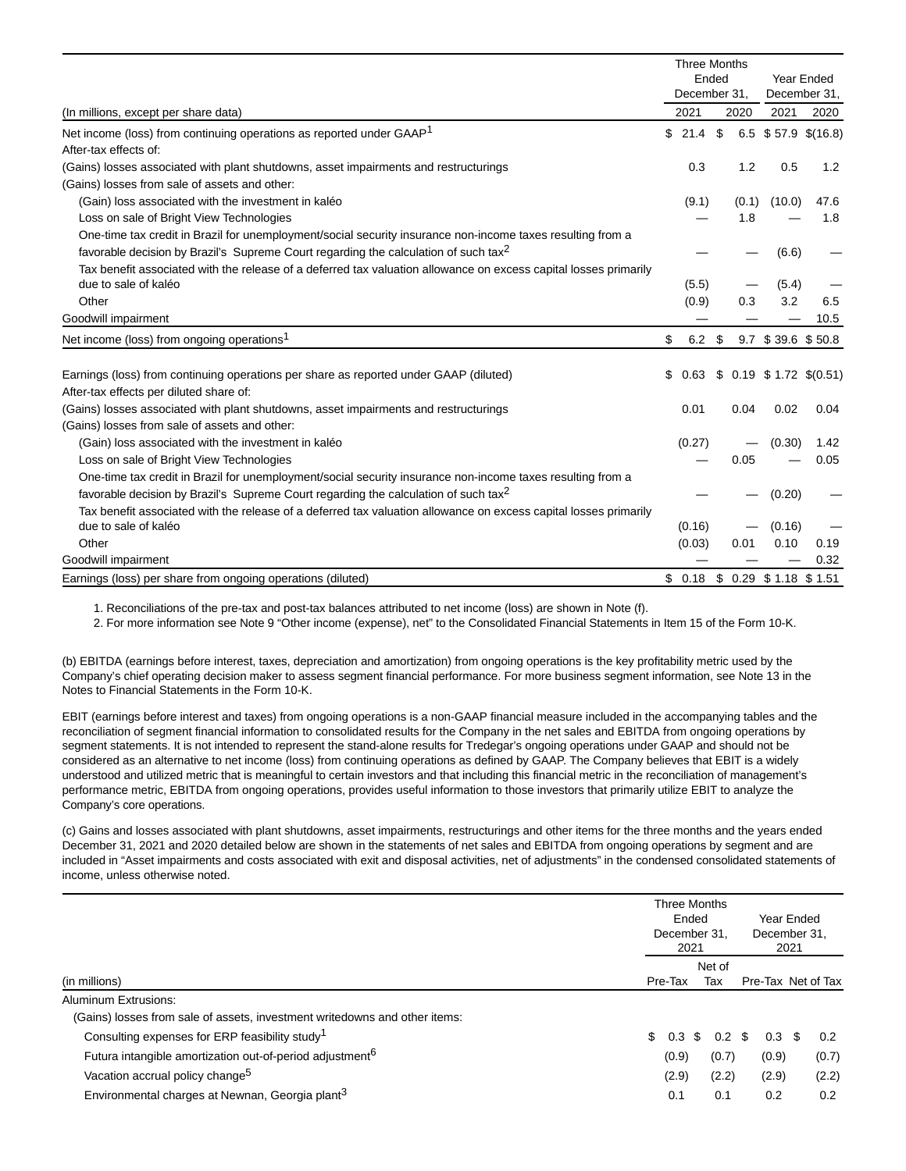|                                                                                                                  | <b>Three Months</b> |              |       |                                 |                         |  |
|------------------------------------------------------------------------------------------------------------------|---------------------|--------------|-------|---------------------------------|-------------------------|--|
|                                                                                                                  |                     | Ended        |       |                                 | Year Ended              |  |
|                                                                                                                  |                     | December 31, |       |                                 | December 31,            |  |
| (In millions, except per share data)                                                                             | 2021                | 2020         |       | 2021                            | 2020                    |  |
| Net income (loss) from continuing operations as reported under GAAP <sup>1</sup>                                 | \$<br>21.4          | \$           |       | 6.5 $$57.9 \text{ $(16.8)$}$    |                         |  |
| After-tax effects of:                                                                                            |                     |              |       |                                 |                         |  |
| (Gains) losses associated with plant shutdowns, asset impairments and restructurings                             | 0.3                 |              | 1.2   | 0.5                             | 1.2                     |  |
| (Gains) losses from sale of assets and other:                                                                    |                     |              |       |                                 |                         |  |
| (Gain) loss associated with the investment in kaléo                                                              | (9.1)               |              | (0.1) | (10.0)                          | 47.6                    |  |
| Loss on sale of Bright View Technologies                                                                         |                     |              | 1.8   |                                 | 1.8                     |  |
| One-time tax credit in Brazil for unemployment/social security insurance non-income taxes resulting from a       |                     |              |       |                                 |                         |  |
| favorable decision by Brazil's Supreme Court regarding the calculation of such tax <sup>2</sup>                  |                     |              |       | (6.6)                           |                         |  |
| Tax benefit associated with the release of a deferred tax valuation allowance on excess capital losses primarily |                     |              |       |                                 |                         |  |
| due to sale of kaléo                                                                                             | (5.5)               |              |       | (5.4)                           |                         |  |
| Other                                                                                                            | (0.9)               |              | 0.3   | 3.2                             | 6.5                     |  |
| Goodwill impairment                                                                                              |                     |              |       |                                 | 10.5                    |  |
| Net income (loss) from ongoing operations <sup>1</sup>                                                           | \$<br>6.2           | \$           |       | $9.7$ \$ 39.6 \$ 50.8           |                         |  |
|                                                                                                                  |                     |              |       |                                 |                         |  |
| Earnings (loss) from continuing operations per share as reported under GAAP (diluted)                            | \$<br>0.63          | \$           |       |                                 | $0.19$ \$ 1.72 \$(0.51) |  |
| After-tax effects per diluted share of:                                                                          |                     |              |       |                                 |                         |  |
| (Gains) losses associated with plant shutdowns, asset impairments and restructurings                             | 0.01                |              | 0.04  | 0.02                            | 0.04                    |  |
| (Gains) losses from sale of assets and other:                                                                    |                     |              |       |                                 |                         |  |
| (Gain) loss associated with the investment in kaléo                                                              | (0.27)              |              |       | (0.30)                          | 1.42                    |  |
| Loss on sale of Bright View Technologies                                                                         |                     |              | 0.05  |                                 | 0.05                    |  |
| One-time tax credit in Brazil for unemployment/social security insurance non-income taxes resulting from a       |                     |              |       |                                 |                         |  |
| favorable decision by Brazil's Supreme Court regarding the calculation of such tax <sup>2</sup>                  |                     |              |       | (0.20)                          |                         |  |
| Tax benefit associated with the release of a deferred tax valuation allowance on excess capital losses primarily |                     |              |       |                                 |                         |  |
| due to sale of kaléo                                                                                             | (0.16)              |              |       | (0.16)                          |                         |  |
| Other                                                                                                            | (0.03)              |              | 0.01  | 0.10                            | 0.19                    |  |
| Goodwill impairment                                                                                              |                     |              |       |                                 | 0.32                    |  |
| Earnings (loss) per share from ongoing operations (diluted)                                                      |                     |              |       | $$0.18$ \$ 0.29 \$ 1.18 \$ 1.51 |                         |  |

1. Reconciliations of the pre-tax and post-tax balances attributed to net income (loss) are shown in Note (f).

2. For more information see Note 9 "Other income (expense), net" to the Consolidated Financial Statements in Item 15 of the Form 10-K.

(b) EBITDA (earnings before interest, taxes, depreciation and amortization) from ongoing operations is the key profitability metric used by the Company's chief operating decision maker to assess segment financial performance. For more business segment information, see Note 13 in the Notes to Financial Statements in the Form 10-K.

EBIT (earnings before interest and taxes) from ongoing operations is a non-GAAP financial measure included in the accompanying tables and the reconciliation of segment financial information to consolidated results for the Company in the net sales and EBITDA from ongoing operations by segment statements. It is not intended to represent the stand-alone results for Tredegar's ongoing operations under GAAP and should not be considered as an alternative to net income (loss) from continuing operations as defined by GAAP. The Company believes that EBIT is a widely understood and utilized metric that is meaningful to certain investors and that including this financial metric in the reconciliation of management's performance metric, EBITDA from ongoing operations, provides useful information to those investors that primarily utilize EBIT to analyze the Company's core operations.

(c) Gains and losses associated with plant shutdowns, asset impairments, restructurings and other items for the three months and the years ended December 31, 2021 and 2020 detailed below are shown in the statements of net sales and EBITDA from ongoing operations by segment and are included in "Asset impairments and costs associated with exit and disposal activities, net of adjustments" in the condensed consolidated statements of income, unless otherwise noted.

|                                                                            | <b>Three Months</b><br>Ended<br>December 31.<br>2021 |  |        |                         |     |  | Year Ended<br>December 31. |  |
|----------------------------------------------------------------------------|------------------------------------------------------|--|--------|-------------------------|-----|--|----------------------------|--|
|                                                                            |                                                      |  | Net of |                         |     |  |                            |  |
| (in millions)                                                              | Pre-Tax                                              |  | Tax    |                         |     |  | Pre-Tax Net of Tax         |  |
| Aluminum Extrusions:                                                       |                                                      |  |        |                         |     |  |                            |  |
| (Gains) losses from sale of assets, investment writedowns and other items: |                                                      |  |        |                         |     |  |                            |  |
| Consulting expenses for ERP feasibility study <sup>1</sup>                 |                                                      |  |        | $$0.3$ \$ 0.2 \$ 0.3 \$ |     |  | 0.2                        |  |
| Futura intangible amortization out-of-period adjustment <sup>6</sup>       | (0.9)                                                |  | (0.7)  | (0.9)                   |     |  | (0.7)                      |  |
| Vacation accrual policy change <sup>5</sup>                                | (2.9)                                                |  | (2.2)  | (2.9)                   |     |  | (2.2)                      |  |
| Environmental charges at Newnan, Georgia plant <sup>3</sup>                | 0.1                                                  |  | 0.1    |                         | 0.2 |  | 0.2                        |  |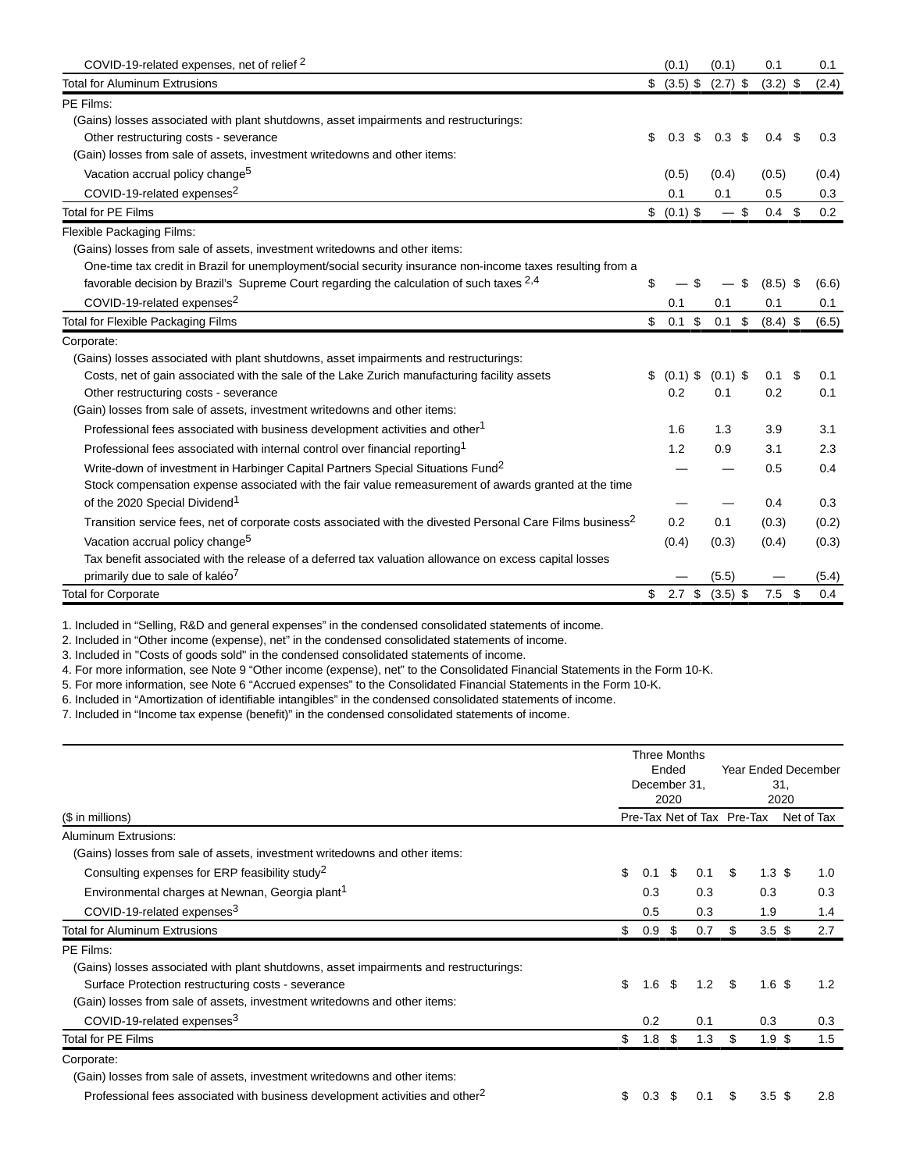| COVID-19-related expenses, net of relief 2                                                                             | (0.1)                  | (0.1)                 | 0.1              | 0.1   |
|------------------------------------------------------------------------------------------------------------------------|------------------------|-----------------------|------------------|-------|
| <b>Total for Aluminum Extrusions</b>                                                                                   |                        | $$$ (3.5) \$ (2.7) \$ | $(3.2)$ \$       | (2.4) |
| PE Films:                                                                                                              |                        |                       |                  |       |
| (Gains) losses associated with plant shutdowns, asset impairments and restructurings:                                  |                        |                       |                  |       |
| Other restructuring costs - severance                                                                                  | \$<br>\$<br>0.3        | 0.3 <sup>5</sup>      | \$<br>0.4        | 0.3   |
| (Gain) losses from sale of assets, investment writedowns and other items:                                              |                        |                       |                  |       |
| Vacation accrual policy change <sup>5</sup>                                                                            | (0.5)                  | (0.4)                 | (0.5)            | (0.4) |
| COVID-19-related expenses <sup>2</sup>                                                                                 | 0.1                    | 0.1                   | 0.5              | 0.3   |
| <b>Total for PE Films</b>                                                                                              | $$ (0.1)$ \$           | $-$ \$                | $0.4 \text{ } $$ | 0.2   |
| Flexible Packaging Films:                                                                                              |                        |                       |                  |       |
| (Gains) losses from sale of assets, investment writedowns and other items:                                             |                        |                       |                  |       |
| One-time tax credit in Brazil for unemployment/social security insurance non-income taxes resulting from a             |                        |                       |                  |       |
| favorable decision by Brazil's Supreme Court regarding the calculation of such taxes 2,4                               | \$                     | \$                    | $(8.5)$ \$       | (6.6) |
| COVID-19-related expenses <sup>2</sup>                                                                                 | 0.1                    | 0.1                   | 0.1              | 0.1   |
| <b>Total for Flexible Packaging Films</b>                                                                              | \$<br>$0.1 \text{ } $$ | \$<br>0.1             | $(8.4)$ \$       | (6.5) |
| Corporate:                                                                                                             |                        |                       |                  |       |
| (Gains) losses associated with plant shutdowns, asset impairments and restructurings:                                  |                        |                       |                  |       |
| Costs, net of gain associated with the sale of the Lake Zurich manufacturing facility assets                           | \$<br>$(0.1)$ \$       | $(0.1)$ \$            | \$<br>0.1        | 0.1   |
| Other restructuring costs - severance                                                                                  | 0.2                    | 0.1                   | 0.2              | 0.1   |
| (Gain) losses from sale of assets, investment writedowns and other items:                                              |                        |                       |                  |       |
| Professional fees associated with business development activities and other <sup>1</sup>                               | 1.6                    | 1.3                   | 3.9              | 3.1   |
| Professional fees associated with internal control over financial reporting <sup>1</sup>                               | 1.2                    | 0.9                   | 3.1              | 2.3   |
| Write-down of investment in Harbinger Capital Partners Special Situations Fund <sup>2</sup>                            |                        |                       | 0.5              | 0.4   |
| Stock compensation expense associated with the fair value remeasurement of awards granted at the time                  |                        |                       |                  |       |
| of the 2020 Special Dividend <sup>1</sup>                                                                              |                        |                       | 0.4              | 0.3   |
| Transition service fees, net of corporate costs associated with the divested Personal Care Films business <sup>2</sup> | 0.2                    | 0.1                   | (0.3)            | (0.2) |
| Vacation accrual policy change <sup>5</sup>                                                                            | (0.4)                  | (0.3)                 | (0.4)            | (0.3) |
| Tax benefit associated with the release of a deferred tax valuation allowance on excess capital losses                 |                        |                       |                  |       |
| primarily due to sale of kaléo'                                                                                        |                        | (5.5)                 |                  | (5.4) |
| <b>Total for Corporate</b>                                                                                             |                        | $$2.7 \$ (3.5) \$$    | $7.5$ \$         | 0.4   |

1. Included in "Selling, R&D and general expenses" in the condensed consolidated statements of income.

2. Included in "Other income (expense), net" in the condensed consolidated statements of income.

3. Included in "Costs of goods sold" in the condensed consolidated statements of income.

4. For more information, see Note 9 "Other income (expense), net" to the Consolidated Financial Statements in the Form 10-K.

5. For more information, see Note 6 "Accrued expenses" to the Consolidated Financial Statements in the Form 10-K.

6. Included in "Amortization of identifiable intangibles" in the condensed consolidated statements of income.

7. Included in "Income tax expense (benefit)" in the condensed consolidated statements of income.

|                                                                                          |     |                            | <b>Three Months</b><br>Ended<br>December 31,<br>2020 |     |     |                  |            | <b>Year Ended December</b><br>31.<br>2020 |  |  |  |  |
|------------------------------------------------------------------------------------------|-----|----------------------------|------------------------------------------------------|-----|-----|------------------|------------|-------------------------------------------|--|--|--|--|
| (\$ in millions)                                                                         |     | Pre-Tax Net of Tax Pre-Tax |                                                      |     |     |                  | Net of Tax |                                           |  |  |  |  |
| Aluminum Extrusions:                                                                     |     |                            |                                                      |     |     |                  |            |                                           |  |  |  |  |
| (Gains) losses from sale of assets, investment writedowns and other items:               |     |                            |                                                      |     |     |                  |            |                                           |  |  |  |  |
| Consulting expenses for ERP feasibility study <sup>2</sup>                               | \$  | 0.1                        | \$                                                   | 0.1 | \$. | 1.3 <sup>5</sup> |            | 1.0                                       |  |  |  |  |
| Environmental charges at Newnan, Georgia plant <sup>1</sup>                              |     | 0.3                        |                                                      | 0.3 |     | 0.3              |            | 0.3                                       |  |  |  |  |
| COVID-19-related expenses <sup>3</sup>                                                   |     | 0.5                        |                                                      | 0.3 |     | 1.9              |            | 1.4                                       |  |  |  |  |
| <b>Total for Aluminum Extrusions</b>                                                     | \$  | 0.9                        | -\$                                                  | 0.7 | \$  | 3.5 <sup>5</sup> |            | 2.7                                       |  |  |  |  |
| PE Films:                                                                                |     |                            |                                                      |     |     |                  |            |                                           |  |  |  |  |
| (Gains) losses associated with plant shutdowns, asset impairments and restructurings:    |     |                            |                                                      |     |     |                  |            |                                           |  |  |  |  |
| Surface Protection restructuring costs - severance                                       | \$  | 1.6                        | - \$                                                 | 1.2 | \$  | 1.6 <sup>5</sup> |            | 1.2                                       |  |  |  |  |
| (Gain) losses from sale of assets, investment writedowns and other items:                |     |                            |                                                      |     |     |                  |            |                                           |  |  |  |  |
| COVID-19-related expenses <sup>3</sup>                                                   |     | 0.2                        |                                                      | 0.1 |     | 0.3              |            | 0.3                                       |  |  |  |  |
| Total for PE Films                                                                       | \$  | 1.8                        | \$                                                   | 1.3 | \$  | 1.9 <sup>5</sup> |            | 1.5                                       |  |  |  |  |
| Corporate:                                                                               |     |                            |                                                      |     |     |                  |            |                                           |  |  |  |  |
| (Gain) losses from sale of assets, investment writedowns and other items:                |     |                            |                                                      |     |     |                  |            |                                           |  |  |  |  |
| Professional fees associated with business development activities and other <sup>2</sup> | \$. | 0.3                        | \$                                                   | 0.1 | S   | 3.5 <sup>5</sup> |            | 2.8                                       |  |  |  |  |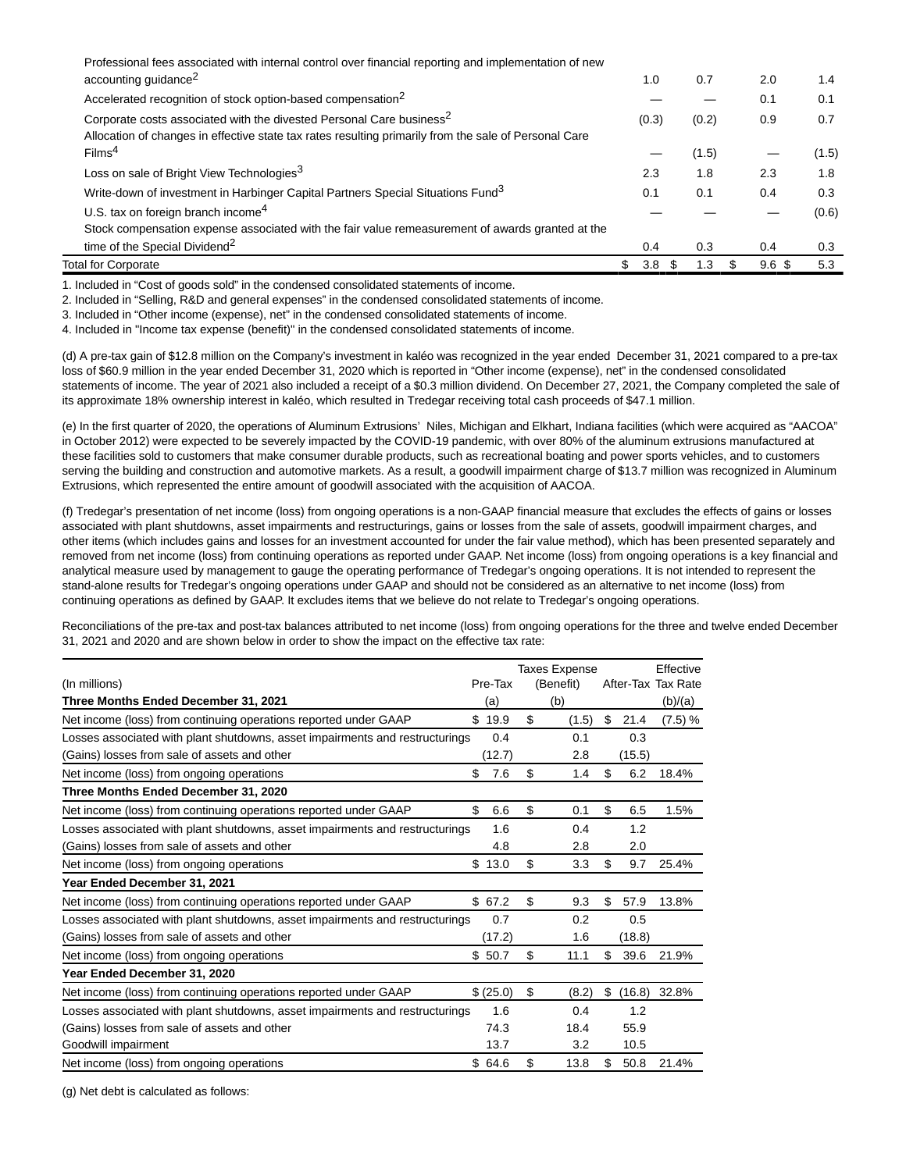| Professional fees associated with internal control over financial reporting and implementation of new |     |       |    |       |                  |               |
|-------------------------------------------------------------------------------------------------------|-----|-------|----|-------|------------------|---------------|
| accounting guidance <sup>2</sup>                                                                      |     | 1.0   |    | 0.7   | 2.0              | $1.4^{\circ}$ |
| Accelerated recognition of stock option-based compensation <sup>2</sup>                               |     |       |    |       | 0.1              | 0.1           |
| Corporate costs associated with the divested Personal Care business <sup>2</sup>                      |     | (0.3) |    | (0.2) | 0.9              | 0.7           |
| Allocation of changes in effective state tax rates resulting primarily from the sale of Personal Care |     |       |    |       |                  |               |
| Films <sup>4</sup>                                                                                    |     |       |    | (1.5) |                  | (1.5)         |
| Loss on sale of Bright View Technologies <sup>3</sup>                                                 |     | 2.3   |    | 1.8   | 2.3              | 1.8           |
| Write-down of investment in Harbinger Capital Partners Special Situations Fund <sup>3</sup>           |     | 0.1   |    | 0.1   | 0.4              | 0.3           |
| U.S. tax on foreign branch income <sup>4</sup>                                                        |     |       |    |       |                  | (0.6)         |
| Stock compensation expense associated with the fair value remeasurement of awards granted at the      |     |       |    |       |                  |               |
| time of the Special Dividend <sup>2</sup>                                                             |     | 0.4   |    | 0.3   | 0.4              | 0.3           |
| <b>Total for Corporate</b>                                                                            | \$. | 3.8   | -S | 1.3   | 9.6 <sup>5</sup> | 5.3           |

1. Included in "Cost of goods sold" in the condensed consolidated statements of income.

2. Included in "Selling, R&D and general expenses" in the condensed consolidated statements of income.

3. Included in "Other income (expense), net" in the condensed consolidated statements of income.

4. Included in "Income tax expense (benefit)" in the condensed consolidated statements of income.

(d) A pre-tax gain of \$12.8 million on the Company's investment in kaléo was recognized in the year ended December 31, 2021 compared to a pre-tax loss of \$60.9 million in the year ended December 31, 2020 which is reported in "Other income (expense), net" in the condensed consolidated statements of income. The year of 2021 also included a receipt of a \$0.3 million dividend. On December 27, 2021, the Company completed the sale of its approximate 18% ownership interest in kaléo, which resulted in Tredegar receiving total cash proceeds of \$47.1 million.

(e) In the first quarter of 2020, the operations of Aluminum Extrusions' Niles, Michigan and Elkhart, Indiana facilities (which were acquired as "AACOA" in October 2012) were expected to be severely impacted by the COVID-19 pandemic, with over 80% of the aluminum extrusions manufactured at these facilities sold to customers that make consumer durable products, such as recreational boating and power sports vehicles, and to customers serving the building and construction and automotive markets. As a result, a goodwill impairment charge of \$13.7 million was recognized in Aluminum Extrusions, which represented the entire amount of goodwill associated with the acquisition of AACOA.

(f) Tredegar's presentation of net income (loss) from ongoing operations is a non-GAAP financial measure that excludes the effects of gains or losses associated with plant shutdowns, asset impairments and restructurings, gains or losses from the sale of assets, goodwill impairment charges, and other items (which includes gains and losses for an investment accounted for under the fair value method), which has been presented separately and removed from net income (loss) from continuing operations as reported under GAAP. Net income (loss) from ongoing operations is a key financial and analytical measure used by management to gauge the operating performance of Tredegar's ongoing operations. It is not intended to represent the stand-alone results for Tredegar's ongoing operations under GAAP and should not be considered as an alternative to net income (loss) from continuing operations as defined by GAAP. It excludes items that we believe do not relate to Tredegar's ongoing operations.

Reconciliations of the pre-tax and post-tax balances attributed to net income (loss) from ongoing operations for the three and twelve ended December 31, 2021 and 2020 and are shown below in order to show the impact on the effective tax rate:

|                                                                              | <b>Taxes Expense</b><br>Pre-Tax |          |    |           |     | Effective<br>After-Tax Tax Rate |         |
|------------------------------------------------------------------------------|---------------------------------|----------|----|-----------|-----|---------------------------------|---------|
| (In millions)                                                                |                                 |          |    | (Benefit) |     |                                 |         |
| Three Months Ended December 31, 2021                                         |                                 | (a)      |    | (b)       |     |                                 | (b)/(a) |
| Net income (loss) from continuing operations reported under GAAP             | S.                              | 19.9     | \$ | (1.5)     | \$  | 21.4                            | (7.5) % |
| Losses associated with plant shutdowns, asset impairments and restructurings |                                 | 0.4      |    | 0.1       |     | 0.3                             |         |
| (Gains) losses from sale of assets and other                                 |                                 | (12.7)   |    | 2.8       |     | (15.5)                          |         |
| Net income (loss) from ongoing operations                                    | \$                              | 7.6      | \$ | 1.4       | \$  | 6.2                             | 18.4%   |
| Three Months Ended December 31, 2020                                         |                                 |          |    |           |     |                                 |         |
| Net income (loss) from continuing operations reported under GAAP             | \$.                             | 6.6      | \$ | 0.1       | \$  | 6.5                             | 1.5%    |
| Losses associated with plant shutdowns, asset impairments and restructurings |                                 | 1.6      |    | 0.4       |     | 1.2                             |         |
| (Gains) losses from sale of assets and other                                 |                                 | 4.8      |    | 2.8       |     | 2.0                             |         |
| Net income (loss) from ongoing operations                                    |                                 | \$13.0   | \$ | 3.3       | \$. | 9.7                             | 25.4%   |
| Year Ended December 31, 2021                                                 |                                 |          |    |           |     |                                 |         |
| Net income (loss) from continuing operations reported under GAAP             |                                 | \$67.2   | \$ | 9.3       | \$  | 57.9                            | 13.8%   |
| Losses associated with plant shutdowns, asset impairments and restructurings |                                 | 0.7      |    | 0.2       |     | 0.5                             |         |
| (Gains) losses from sale of assets and other                                 |                                 | (17.2)   |    | 1.6       |     | (18.8)                          |         |
| Net income (loss) from ongoing operations                                    |                                 | \$50.7   | \$ | 11.1      | \$  | 39.6                            | 21.9%   |
| Year Ended December 31, 2020                                                 |                                 |          |    |           |     |                                 |         |
| Net income (loss) from continuing operations reported under GAAP             |                                 | \$(25.0) | \$ | (8.2)     | \$  | (16.8)                          | 32.8%   |
| Losses associated with plant shutdowns, asset impairments and restructurings |                                 | 1.6      |    | 0.4       |     | 1.2                             |         |
| (Gains) losses from sale of assets and other                                 |                                 | 74.3     |    | 18.4      |     | 55.9                            |         |
| Goodwill impairment                                                          |                                 | 13.7     |    | 3.2       |     | 10.5                            |         |
| Net income (loss) from ongoing operations                                    |                                 | \$64.6   | \$ | 13.8      | \$  | 50.8                            | 21.4%   |

(g) Net debt is calculated as follows: